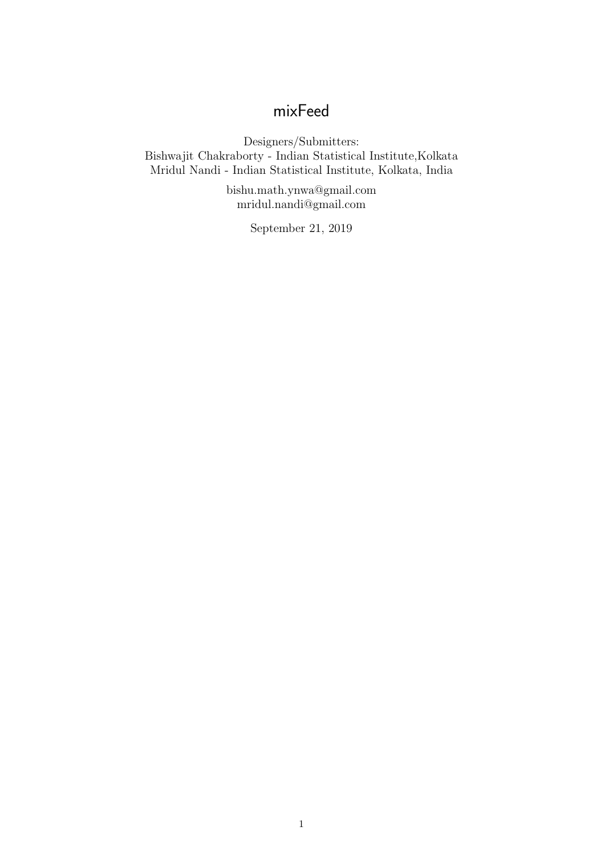# mixFeed

Designers/Submitters: Bishwajit Chakraborty - Indian Statistical Institute,Kolkata Mridul Nandi - Indian Statistical Institute, Kolkata, India

> bishu.math.ynwa@gmail.com mridul.nandi@gmail.com

> > September 21, 2019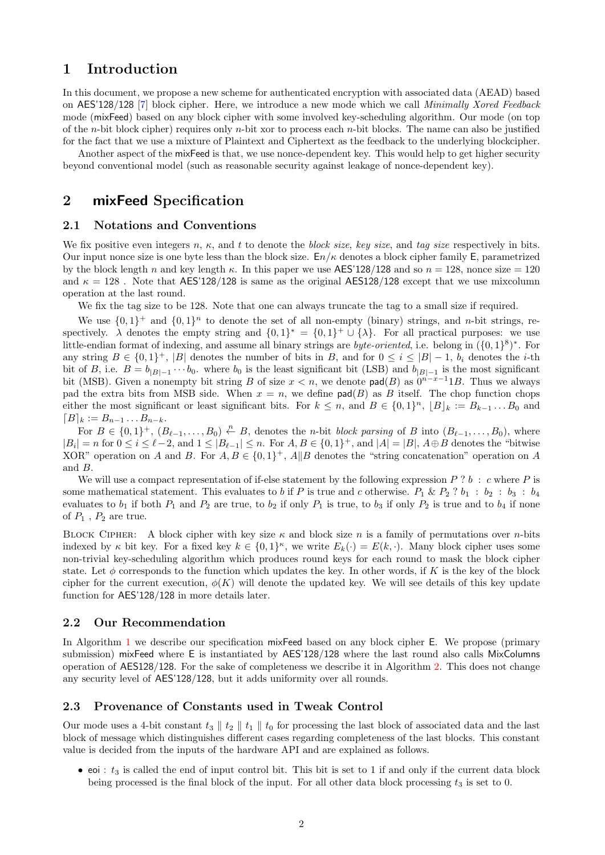## 1 Introduction

In this document, we propose a new scheme for authenticated encryption with associated data (AEAD) based on AES'128/128 [\[7\]](#page-18-0) block cipher. Here, we introduce a new mode which we call Minimally Xored Feedback mode (mixFeed) based on any block cipher with some involved key-scheduling algorithm. Our mode (on top of the *n*-bit block cipher) requires only *n*-bit xor to process each *n*-bit blocks. The name can also be justified for the fact that we use a mixture of Plaintext and Ciphertext as the feedback to the underlying blockcipher.

Another aspect of the mixFeed is that, we use nonce-dependent key. This would help to get higher security beyond conventional model (such as reasonable security against leakage of nonce-dependent key).

## <span id="page-1-0"></span>2 mixFeed Specification

#### 2.1 Notations and Conventions

We fix positive even integers n,  $\kappa$ , and t to denote the block size, key size, and tag size respectively in bits. Our input nonce size is one byte less than the block size.  $E_n/\kappa$  denotes a block cipher family E, parametrized by the block length n and key length  $\kappa$ . In this paper we use AES'128/128 and so  $n = 128$ , nonce size  $= 120$ and  $\kappa = 128$ . Note that AES'128/128 is same as the original AES128/128 except that we use mixcolumn operation at the last round.

We fix the tag size to be 128. Note that one can always truncate the tag to a small size if required.

We use  $\{0,1\}^+$  and  $\{0,1\}^n$  to denote the set of all non-empty (binary) strings, and n-bit strings, respectively.  $\lambda$  denotes the empty string and  $\{0,1\}^* = \{0,1\}^+ \cup \{\lambda\}$ . For all practical purposes: we use little-endian format of indexing, and assume all binary strings are *byte-oriented*, i.e. belong in  $({0,1}^8)^*$ . For any string  $B \in \{0,1\}^+$ , |B| denotes the number of bits in B, and for  $0 \le i \le |B|-1$ ,  $b_i$  denotes the *i*-th bit of B, i.e.  $B = b_{|B|-1} \cdots b_0$ . where  $b_0$  is the least significant bit (LSB) and  $b_{|B|-1}$  is the most significant bit (MSB). Given a nonempty bit string B of size  $x < n$ , we denote pad(B) as  $0^{n-x-1}1B$ . Thus we always pad the extra bits from MSB side. When  $x = n$ , we define  $\text{pad}(B)$  as B itself. The chop function chops either the most significant or least significant bits. For  $k \leq n$ , and  $B \in \{0,1\}^n$ ,  $[B]_k := B_{k-1} \dots B_0$  and  $[B]_k := B_{n-1} \dots B_{n-k}.$ 

For  $B \in \{0,1\}^+$ ,  $(B_{\ell-1},...,B_0) \stackrel{n}{\leftarrow} B$ , denotes the *n*-bit *block parsing* of B into  $(B_{\ell-1},...,B_0)$ , where  $|B_i| = n$  for  $0 \le i \le \ell - 2$ , and  $1 \le |B_{\ell-1}| \le n$ . For  $A, B \in \{0,1\}^+$ , and  $|A| = |B|$ ,  $A \oplus B$  denotes the "bitwise" XOR" operation on A and B. For  $A, B \in \{0,1\}^+$ ,  $A \| B$  denotes the "string concatenation" operation on A and B.

We will use a compact representation of if-else statement by the following expression  $P$ ?  $b : c$  where  $P$  is some mathematical statement. This evaluates to b if P is true and c otherwise.  $P_1 \& P_2 ? b_1 : b_2 : b_3 : b_4$ evaluates to  $b_1$  if both  $P_1$  and  $P_2$  are true, to  $b_2$  if only  $P_1$  is true, to  $b_3$  if only  $P_2$  is true and to  $b_4$  if none of  $P_1$ ,  $P_2$  are true.

BLOCK CIPHER: A block cipher with key size  $\kappa$  and block size n is a family of permutations over n-bits indexed by  $\kappa$  bit key. For a fixed key  $k \in \{0,1\}^{\kappa}$ , we write  $E_k(\cdot) = E(k, \cdot)$ . Many block cipher uses some non-trivial key-scheduling algorithm which produces round keys for each round to mask the block cipher state. Let  $\phi$  corresponds to the function which updates the key. In other words, if K is the key of the block cipher for the current execution,  $\phi(K)$  will denote the updated key. We will see details of this key update function for AES'128/128 in more details later.

#### 2.2 Our Recommendation

In Algorithm [1](#page-2-0) we describe our specification mixFeed based on any block cipher E. We propose (primary submission) mixFeed where E is instantiated by AES'128/128 where the last round also calls MixColumns operation of AES128/128. For the sake of completeness we describe it in Algorithm [2.](#page-3-0) This does not change any security level of AES'128/128, but it adds uniformity over all rounds.

#### 2.3 Provenance of Constants used in Tweak Control

Our mode uses a 4-bit constant  $t_3 \parallel t_2 \parallel t_1 \parallel t_0$  for processing the last block of associated data and the last block of message which distinguishes different cases regarding completeness of the last blocks. This constant value is decided from the inputs of the hardware API and are explained as follows.

• eoi :  $t_3$  is called the end of input control bit. This bit is set to 1 if and only if the current data block being processed is the final block of the input. For all other data block processing  $t_3$  is set to 0.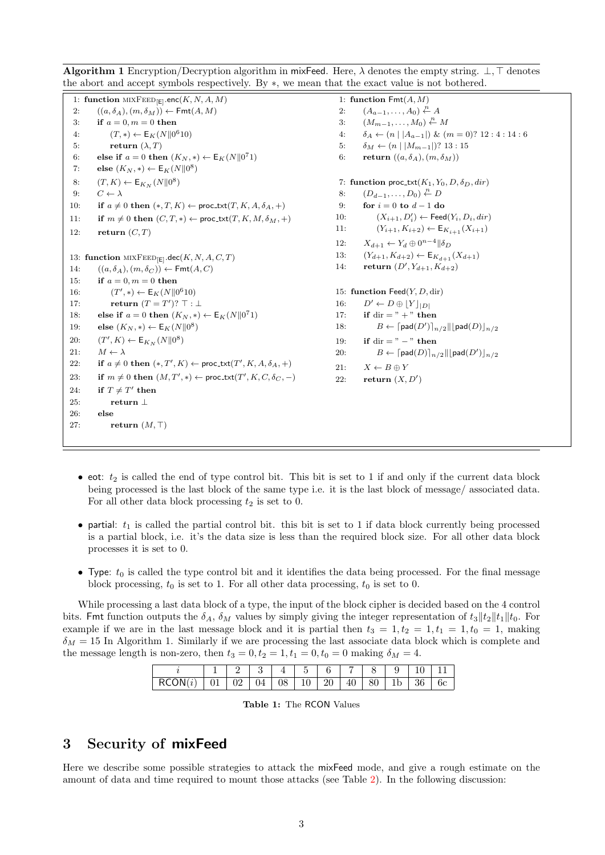|                                                                                    |                                                                                                           | 1: function $Fmt(A, M)$                                                                      |
|------------------------------------------------------------------------------------|-----------------------------------------------------------------------------------------------------------|----------------------------------------------------------------------------------------------|
| $((a, \delta_A), (m, \delta_M)) \leftarrow \text{Fmt}(A, M)$                       | 2:                                                                                                        | $(A_{a-1},\ldots,A_0)\overset{n}{\leftarrow}A$                                               |
| if $a = 0, m = 0$ then                                                             | 3:                                                                                                        | $(M_{m-1},\ldots,M_0)\stackrel{n}{\leftarrow}M$                                              |
| $(T, *) \leftarrow E_K(N  0^610)$                                                  | 4:                                                                                                        | $\delta_A \leftarrow (n \mid  A_{a-1} ) \& (m = 0)$ ? 12 : 4 : 14 : 6                        |
| return $(\lambda, T)$                                                              | 5:                                                                                                        | $\delta_M \leftarrow (n \mid  M_{m-1} )? 13 : 15$                                            |
| else if $a = 0$ then $(K_N, *) \leftarrow E_K(N  0^71)$                            | 6:                                                                                                        | return $((a, \delta_A), (m, \delta_M))$                                                      |
| else $(K_N, *) \leftarrow \mathsf{E}_K(N  0^8)$                                    |                                                                                                           |                                                                                              |
| $(T, K) \leftarrow \mathsf{E}_{K_N}(N  0^8)$                                       |                                                                                                           | 7: function proc_txt( $K_1, Y_0, D, \delta_D, dir$ )                                         |
| $C \leftarrow \lambda$                                                             | 8:                                                                                                        | $(D_{d-1},\ldots,D_0)\overset{n}{\leftarrow}D$                                               |
| if $a \neq 0$ then $(*, T, K) \leftarrow \text{proc.txt}(T, K, A, \delta_A, +)$    | 9:                                                                                                        | for $i = 0$ to $d - 1$ do                                                                    |
| if $m \neq 0$ then $(C, T, *) \leftarrow \text{proc\_txt}(T, K, M, \delta_M, *)$   | 10:                                                                                                       | $(X_{i+1}, D') \leftarrow \textsf{Feed}(Y_i, D_i, dir)$                                      |
| return $(C, T)$                                                                    | 11:                                                                                                       | $(Y_{i+1}, K_{i+2}) \leftarrow \mathsf{E}_{K_{i+1}}(X_{i+1})$                                |
|                                                                                    | 12:                                                                                                       | $X_{d+1} \leftarrow Y_d \oplus 0^{n-4}    \delta_D$                                          |
|                                                                                    | 13:                                                                                                       | $(Y_{d+1}, K_{d+2}) \leftarrow \mathsf{E}_{K_{d+1}}(X_{d+1})$                                |
| $((a, \delta_A), (m, \delta_C)) \leftarrow \text{Fmt}(A, C)$                       | 14:                                                                                                       | return $(D', Y_{d+1}, K_{d+2})$                                                              |
| if $a = 0, m = 0$ then                                                             |                                                                                                           |                                                                                              |
| $(T', *) \leftarrow E_K(N  0^610)$                                                 |                                                                                                           | 15: function Feed $(Y, D, \text{dir})$                                                       |
| return $(T = T')$ ? $\top : \bot$                                                  | 16:                                                                                                       | $D' \leftarrow D \oplus [Y]_{ D }$                                                           |
| else if $a = 0$ then $(K_N, *) \leftarrow E_K(N  0^71)$                            | 17:                                                                                                       | if dir $=$ " + " then                                                                        |
| else $(K_N, *) \leftarrow \mathsf{E}_K(N  0^8)$                                    | 18:                                                                                                       | $B \leftarrow \lceil \mathsf{pad}(D') \rceil_{n/2}    \lceil \mathsf{pad}(D) \rceil_{n/2}$   |
| $(T', K) \leftarrow \mathsf{E}_{K_N}(N  0^8)$                                      | 19:                                                                                                       | if dir $=$ " $-$ " then                                                                      |
| $M \leftarrow \lambda$                                                             | <b>20:</b>                                                                                                | $B \leftarrow \lceil \mathsf{pad}(D) \rceil_{n/2}    \lfloor \mathsf{pad}(D') \rfloor_{n/2}$ |
| if $a \neq 0$ then $(*,T',K) \leftarrow \text{proc.txt}(T',K,A,\delta_A,+)$        | 21:                                                                                                       | $X \leftarrow B \oplus Y$                                                                    |
| if $m \neq 0$ then $(M, T', *) \leftarrow \text{proc\_txt}(T', K, C, \delta_C, -)$ | 22:                                                                                                       | return $(X, D')$                                                                             |
| if $T \neq T'$ then                                                                |                                                                                                           |                                                                                              |
| return $\perp$                                                                     |                                                                                                           |                                                                                              |
| else                                                                               |                                                                                                           |                                                                                              |
| return $(M, \top)$                                                                 |                                                                                                           |                                                                                              |
|                                                                                    |                                                                                                           |                                                                                              |
|                                                                                    | 1: function $MIXFED_{[E]}$ .enc $(K, N, A, M)$<br>13: function MIXFEED <sub>[E]</sub> .dec(K, N, A, C, T) |                                                                                              |

<span id="page-2-0"></span>**Algorithm 1** Encryption/Decryption algorithm in mixFeed. Here,  $\lambda$  denotes the empty string.  $\bot$ ,  $\top$  denotes the abort and accept symbols respectively. By ∗, we mean that the exact value is not bothered.

- eot:  $t_2$  is called the end of type control bit. This bit is set to 1 if and only if the current data block being processed is the last block of the same type i.e. it is the last block of message/ associated data. For all other data block processing  $t_2$  is set to 0.
- partial:  $t_1$  is called the partial control bit. this bit is set to 1 if data block currently being processed is a partial block, i.e. it's the data size is less than the required block size. For all other data block processes it is set to 0.
- Type:  $t_0$  is called the type control bit and it identifies the data being processed. For the final message block processing,  $t_0$  is set to 1. For all other data processing,  $t_0$  is set to 0.

While processing a last data block of a type, the input of the block cipher is decided based on the 4 control bits. Fmt function outputs the  $\delta_A$ ,  $\delta_M$  values by simply giving the integer representation of  $t_3||t_2||t_1||t_0$ . For example if we are in the last message block and it is partial then  $t_3 = 1, t_2 = 1, t_1 = 1, t_0 = 1$ , making  $\delta_M = 15$  In Algorithm 1. Similarly if we are processing the last associate data block which is complete and the message length is non-zero, then  $t_3 = 0, t_2 = 1, t_1 = 0, t_0 = 0$  making  $\delta_M = 4$ .

|                                                                  |  |  |  |  | $1 \mid 2 \mid 3 \mid 4 \mid 5 \mid 6 \mid 7 \mid 8 \mid 9 \mid 10 \mid 11$ |  |
|------------------------------------------------------------------|--|--|--|--|-----------------------------------------------------------------------------|--|
| $RCON(i)$   01   02   04   08   10   20   40   80   1b   36   6c |  |  |  |  |                                                                             |  |

|  |  | <b>Table 1:</b> The RCON Values |
|--|--|---------------------------------|
|--|--|---------------------------------|

## 3 Security of mixFeed

Here we describe some possible strategies to attack the mixFeed mode, and give a rough estimate on the amount of data and time required to mount those attacks (see Table [2\)](#page-3-1). In the following discussion: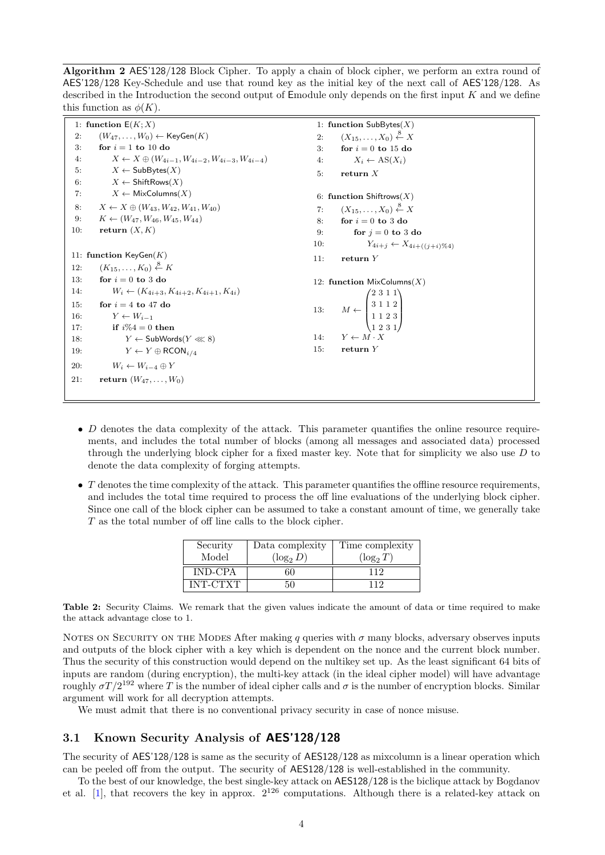<span id="page-3-0"></span>Algorithm 2 AES'128/128 Block Cipher. To apply a chain of block cipher, we perform an extra round of AES'128/128 Key-Schedule and use that round key as the initial key of the next call of AES'128/128. As described in the Introduction the second output of Emodule only depends on the first input  $K$  and we define this function as  $\phi(K)$ .

|     | 1: function $E(K; X)$                                            | 1: function $SubBytes(X)$                                                               |  |
|-----|------------------------------------------------------------------|-----------------------------------------------------------------------------------------|--|
| 2:  | $(W_{47},\ldots,W_0) \leftarrow \mathsf{KeyGen}(K)$              | $(X_{15},\ldots,X_0)\overset{8}{\leftarrow}X$<br>2:                                     |  |
| 3:  | for $i = 1$ to 10 do                                             | for $i = 0$ to 15 do<br>3:                                                              |  |
| 4:  | $X \leftarrow X \oplus (W_{4i-1}, W_{4i-2}, W_{4i-3}, W_{4i-4})$ | $X_i \leftarrow AS(X_i)$<br>4:                                                          |  |
| 5.  | $X \leftarrow$ SubBytes $(X)$                                    | return $X$<br>5:                                                                        |  |
| 6:  | $X \leftarrow$ ShiftRows $(X)$                                   |                                                                                         |  |
| 7:  | $X \leftarrow$ MixColumns $(X)$                                  | 6: function Shiftrows $(X)$                                                             |  |
| 8:  | $X \leftarrow X \oplus (W_{43}, W_{42}, W_{41}, W_{40})$         | $(X_{15},\ldots,X_0)\overset{8}{\leftarrow}X$<br>7:                                     |  |
| 9:  | $K \leftarrow (W_{47}, W_{46}, W_{45}, W_{44})$                  | for $i=0$ to 3 do<br>8:                                                                 |  |
| 10: | return $(X, K)$                                                  | for $i = 0$ to 3 do<br>9:                                                               |  |
|     |                                                                  | $Y_{4i+j} \leftarrow X_{4i+((j+i)\%4)}$<br>10.                                          |  |
|     | 11: function $KeyGen(K)$                                         | return $Y$<br>11:                                                                       |  |
| 12: | $(K_{15}, \ldots, K_0) \overset{8}{\leftarrow} K$                |                                                                                         |  |
| 13: | for $i = 0$ to 3 do                                              | 12: function $MixColumns(X)$                                                            |  |
| 14: | $W_i \leftarrow (K_{4i+3}, K_{4i+2}, K_{4i+1}, K_{4i})$          | $M \gets \begin{pmatrix} 2 & 3 & 1 & 1 \\ 3 & 1 & 1 & 2 \\ 1 & 1 & 2 & 3 \end{pmatrix}$ |  |
| 15: | for $i = 4$ to 47 do                                             | 13:                                                                                     |  |
| 16: | $Y \leftarrow W_{i-1}$                                           |                                                                                         |  |
| 17: | if $i\%4 = 0$ then                                               |                                                                                         |  |
| 18: | $Y \leftarrow$ SubWords $(Y \ll 8)$                              | $Y \leftarrow M \cdot X$<br>14:                                                         |  |
| 19: | $Y \leftarrow Y \oplus \mathsf{RCON}_{i/4}$                      | return $Y$<br>15:                                                                       |  |
| 20: | $W_i \leftarrow W_{i-4} \oplus Y$                                |                                                                                         |  |
| 21: | <b>return</b> $(W_{47},,W_0)$                                    |                                                                                         |  |
|     |                                                                  |                                                                                         |  |

- $\bullet$  D denotes the data complexity of the attack. This parameter quantifies the online resource requirements, and includes the total number of blocks (among all messages and associated data) processed through the underlying block cipher for a fixed master key. Note that for simplicity we also use  $D$  to denote the data complexity of forging attempts.
- <span id="page-3-1"></span> $\bullet$  T denotes the time complexity of the attack. This parameter quantifies the offline resource requirements, and includes the total time required to process the off line evaluations of the underlying block cipher. Since one call of the block cipher can be assumed to take a constant amount of time, we generally take T as the total number of off line calls to the block cipher.

| Security        | Data complexity | Time complexity |
|-----------------|-----------------|-----------------|
| Model           | $(\log_2 D)$    | $(\log_2 T)$    |
| <b>IND-CPA</b>  | 50              | 119             |
| <b>INT-CTXT</b> | 50              | 119             |

Table 2: Security Claims. We remark that the given values indicate the amount of data or time required to make the attack advantage close to 1.

NOTES ON SECURITY ON THE MODES After making q queries with  $\sigma$  many blocks, adversary observes inputs and outputs of the block cipher with a key which is dependent on the nonce and the current block number. Thus the security of this construction would depend on the nultikey set up. As the least significant 64 bits of inputs are random (during encryption), the multi-key attack (in the ideal cipher model) will have advantage roughly  $\sigma T/2^{192}$  where T is the number of ideal cipher calls and  $\sigma$  is the number of encryption blocks. Similar argument will work for all decryption attempts.

We must admit that there is no conventional privacy security in case of nonce misuse.

## 3.1 Known Security Analysis of AES'128/128

The security of AES'128/128 is same as the security of AES128/128 as mixcolumn is a linear operation which can be peeled off from the output. The security of AES128/128 is well-established in the community.

To the best of our knowledge, the best single-key attack on AES128/128 is the biclique attack by Bogdanov et al. [\[1\]](#page-18-1), that recovers the key in approx.  $2^{126}$  computations. Although there is a related-key attack on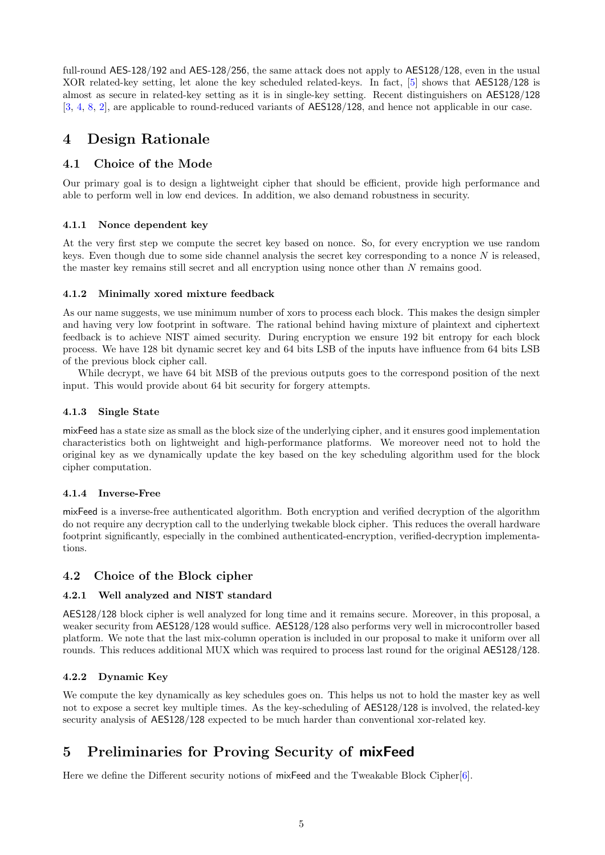full-round AES-128/192 and AES-128/256, the same attack does not apply to AES128/128, even in the usual XOR related-key setting, let alone the key scheduled related-keys. In fact, [\[5\]](#page-18-2) shows that AES128/128 is almost as secure in related-key setting as it is in single-key setting. Recent distinguishers on AES128/128 [\[3,](#page-18-3) [4,](#page-18-4) [8,](#page-18-5) [2\]](#page-18-6), are applicable to round-reduced variants of AES128/128, and hence not applicable in our case.

## 4 Design Rationale

## 4.1 Choice of the Mode

Our primary goal is to design a lightweight cipher that should be efficient, provide high performance and able to perform well in low end devices. In addition, we also demand robustness in security.

### 4.1.1 Nonce dependent key

At the very first step we compute the secret key based on nonce. So, for every encryption we use random keys. Even though due to some side channel analysis the secret key corresponding to a nonce  $N$  is released, the master key remains still secret and all encryption using nonce other than N remains good.

### 4.1.2 Minimally xored mixture feedback

As our name suggests, we use minimum number of xors to process each block. This makes the design simpler and having very low footprint in software. The rational behind having mixture of plaintext and ciphertext feedback is to achieve NIST aimed security. During encryption we ensure 192 bit entropy for each block process. We have 128 bit dynamic secret key and 64 bits LSB of the inputs have influence from 64 bits LSB of the previous block cipher call.

While decrypt, we have 64 bit MSB of the previous outputs goes to the correspond position of the next input. This would provide about 64 bit security for forgery attempts.

### 4.1.3 Single State

mixFeed has a state size as small as the block size of the underlying cipher, and it ensures good implementation characteristics both on lightweight and high-performance platforms. We moreover need not to hold the original key as we dynamically update the key based on the key scheduling algorithm used for the block cipher computation.

#### 4.1.4 Inverse-Free

mixFeed is a inverse-free authenticated algorithm. Both encryption and verified decryption of the algorithm do not require any decryption call to the underlying twekable block cipher. This reduces the overall hardware footprint significantly, especially in the combined authenticated-encryption, verified-decryption implementations.

### 4.2 Choice of the Block cipher

### 4.2.1 Well analyzed and NIST standard

AES128/128 block cipher is well analyzed for long time and it remains secure. Moreover, in this proposal, a weaker security from AES128/128 would suffice. AES128/128 also performs very well in microcontroller based platform. We note that the last mix-column operation is included in our proposal to make it uniform over all rounds. This reduces additional MUX which was required to process last round for the original AES128/128.

### 4.2.2 Dynamic Key

We compute the key dynamically as key schedules goes on. This helps us not to hold the master key as well not to expose a secret key multiple times. As the key-scheduling of AES128/128 is involved, the related-key security analysis of AES128/128 expected to be much harder than conventional xor-related key.

## 5 Preliminaries for Proving Security of mixFeed

Here we define the Different security notions of mixFeed and the Tweakable Block Cipher[\[6\]](#page-18-7).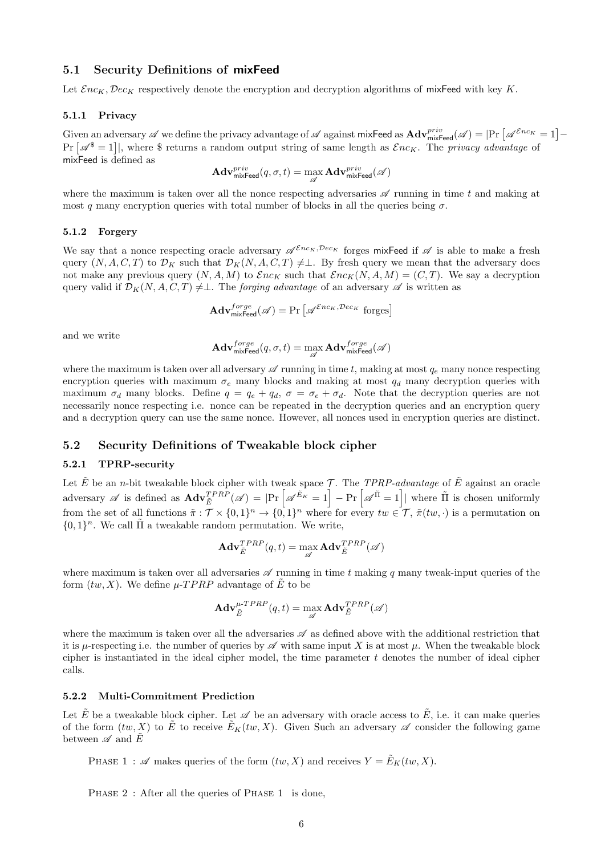#### <span id="page-5-0"></span>5.1 Security Definitions of mixFeed

Let  $\mathcal{E}nc_K, \mathcal{D}ec_K$  respectively denote the encryption and decryption algorithms of mixFeed with key K.

#### 5.1.1 Privacy

Given an adversary  $\mathscr A$  we define the privacy advantage of  $\mathscr A$  against mixFeed as  $\mathbf{Adv}_{\mathsf{mixFeed}}^{priv}(\mathscr A)=|\Pr\left[\mathscr A^{\mathcal Enc_K}=1\right] Pr[\mathscr{A}^{\$}=1]|$ , where  $$$  returns a random output string of same length as  $\mathcal{E}nc_K$ . The privacy advantage of mixFeed is defined as

$$
\mathbf{Adv}^{priv}_{\mathsf{mixHead}}(q, \sigma, t) = \max_{\mathscr{A}} \mathbf{Adv}^{priv}_{\mathsf{mixHead}}(\mathscr{A})
$$

where the maximum is taken over all the nonce respecting adversaries  $\mathscr A$  running in time t and making at most q many encryption queries with total number of blocks in all the queries being  $\sigma$ .

#### 5.1.2 Forgery

We say that a nonce respecting oracle adversary  $\mathscr{A}^{\mathcal{E}nc_K,\mathcal{D}ec_K}$  forges mixFeed if  $\mathscr{A}$  is able to make a fresh query  $(N, A, C, T)$  to  $\mathcal{D}_K$  such that  $\mathcal{D}_K(N, A, C, T) \neq \perp$ . By fresh query we mean that the adversary does not make any previous query  $(N, A, M)$  to  $\mathcal{E}nc_K$  such that  $\mathcal{E}nc_K(N, A, M) = (C, T)$ . We say a decryption query valid if  $\mathcal{D}_K(N, A, C, T) \neq \perp$ . The *forging advantage* of an adversary  $\mathscr A$  is written as

$$
\mathbf{Adv}_{\mathsf{mixHead}}^{forget}(\mathscr{A}) = \Pr\left[\mathscr{A}^{\mathcal{E}nc_K, \mathcal{D}ec_K} \text{ forges}\right]
$$

and we write

$$
\mathbf{Adv}_{\mathsf{mix}\mathsf{Feed}}^{forge}(q,\sigma,t)=\max_{\mathscr{A}} \mathbf{Adv}_{\mathsf{mix}\mathsf{Feed}}^{forge}(\mathscr{A})
$$

where the maximum is taken over all adversary  $\mathscr A$  running in time t, making at most  $q_e$  many nonce respecting encryption queries with maximum  $\sigma_e$  many blocks and making at most  $q_d$  many decryption queries with maximum  $\sigma_d$  many blocks. Define  $q = q_e + q_d$ ,  $\sigma = \sigma_e + \sigma_d$ . Note that the decryption queries are not necessarily nonce respecting i.e. nonce can be repeated in the decryption queries and an encryption query and a decryption query can use the same nonce. However, all nonces used in encryption queries are distinct.

### 5.2 Security Definitions of Tweakable block cipher

#### 5.2.1 TPRP-security

Let  $\tilde{E}$  be an *n*-bit tweakable block cipher with tweak space T. The TPRP-advantage of  $\tilde{E}$  against an oracle adversary  $\mathscr A$  is defined as  $\mathbf{Adv}_{\tilde{E}}^{TPRP}(\mathscr A) = |\Pr\left[\mathscr A^{\tilde{E}_K} = 1\right] - \Pr\left[\mathscr A^{\tilde{\Pi}} = 1\right]|$  where  $\tilde{\Pi}$  is chosen uniformly from the set of all functions  $\tilde{\pi}: \mathcal{T} \times \{0,1\}^n \to \{0,1\}^n$  where for every  $tw \in \mathcal{T}$ ,  $\tilde{\pi}(tw, \cdot)$  is a permutation on  $\{0,1\}^n$ . We call  $\tilde{\Pi}$  a tweakable random permutation. We write,

$$
\mathbf{Adv}_{\tilde{E}}^{TPRP}(q,t) = \max_{\mathscr{A}} \mathbf{Adv}_{\tilde{E}}^{TPRP}(\mathscr{A})
$$

where maximum is taken over all adversaries  $\mathscr A$  running in time t making q many tweak-input queries of the form  $(tw, X)$ . We define  $\mu$ -TPRP advantage of  $\tilde{E}$  to be

$$
\mathbf{Adv}_{\tilde{E}}^{\mu-TPRP}(q,t) = \max_{\mathscr{A}} \mathbf{Adv}_{\tilde{E}}^{TPRP}(\mathscr{A})
$$

where the maximum is taken over all the adversaries  $\mathscr A$  as defined above with the additional restriction that it is  $\mu$ -respecting i.e. the number of queries by  $\mathscr A$  with same input X is at most  $\mu$ . When the tweakable block cipher is instantiated in the ideal cipher model, the time parameter  $t$  denotes the number of ideal cipher calls.

#### 5.2.2 Multi-Commitment Prediction

Let  $\tilde{E}$  be a tweakable block cipher. Let  $\mathscr A$  be an adversary with oracle access to  $\tilde{E}$ , i.e. it can make queries of the form  $(tw, X)$  to  $\tilde{E}$  to receive  $\tilde{E}_K(tw, X)$ . Given Such an adversary  $\mathscr A$  consider the following game between  $\mathscr A$  and  $\tilde E$ 

PHASE 1 :  $\mathscr A$  makes queries of the form  $(tw, X)$  and receives  $Y = \tilde E_K(tw, X)$ .

PHASE 2 : After all the queries of PHASE 1 is done,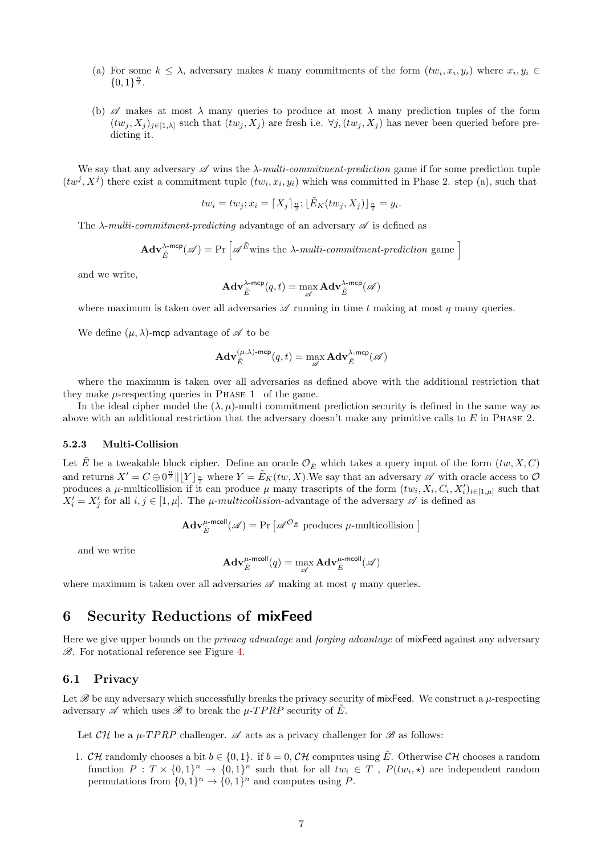- (a) For some  $k \leq \lambda$ , adversary makes k many commitments of the form  $(tw_i, x_i, y_i)$  where  $x_i, y_i \in$  ${0,1}^{\frac{n}{2}}$ .
- (b)  $\mathscr A$  makes at most  $\lambda$  many queries to produce at most  $\lambda$  many prediction tuples of the form  $(tw_i, X_i)_{i\in[1,\lambda]}$  such that  $(tw_i, X_i)$  are fresh i.e.  $\forall j, (tw_i, X_i)$  has never been queried before predicting it.

We say that any adversary  $\mathscr A$  wins the  $\lambda$ -multi-commitment-prediction game if for some prediction tuple  $(tw^j, X^j)$  there exist a commitment tuple  $(tw_i, x_i, y_i)$  which was committed in Phase 2. step (a), such that

$$
tw_i = tw_j; x_i = \lceil X_j \rceil_{\frac{n}{2}}; \lfloor \tilde{E}_K(tw_j, X_j) \rfloor_{\frac{n}{2}} = y_i.
$$

The  $\lambda$ -multi-commitment-predicting advantage of an adversary  $\mathscr A$  is defined as

$$
\mathbf{Adv}_{\tilde{E}}^{\lambda\text{-mcp}}(\mathscr{A}) = \Pr\left[\mathscr{A}^{\tilde{E}} \text{ wins the } \lambda\text{-multi-commitment-prediction game}\right]
$$

and we write,

$$
\mathbf{Adv}_{\tilde{E}}^{\lambda\text{-mcp}}(q,t) = \max_{\mathscr{A}} \mathbf{Adv}_{\tilde{E}}^{\lambda\text{-mcp}}(\mathscr{A})
$$

where maximum is taken over all adversaries  $\mathscr A$  running in time t making at most q many queries.

We define  $(\mu, \lambda)$ -mcp advantage of  $\mathscr A$  to be

$$
\mathbf{Adv}_{\tilde{E}}^{(\mu,\lambda)\text{-mcp}}(q,t)=\max_{\mathscr{A}} \mathbf{Adv}_{\tilde{E}}^{\lambda\text{-mcp}}(\mathscr{A})
$$

where the maximum is taken over all adversaries as defined above with the additional restriction that they make  $\mu$ -respecting queries in PHASE 1 of the game.

In the ideal cipher model the  $(\lambda, \mu)$ -multi commitment prediction security is defined in the same way as above with an additional restriction that the adversary doesn't make any primitive calls to  $E$  in Phase 2.

#### 5.2.3 Multi-Collision

Let  $\tilde{E}$  be a tweakable block cipher. Define an oracle  $\mathcal{O}_{\tilde{E}}$  which takes a query input of the form  $(tw, X, C)$ and returns  $X' = C \oplus 0^{\frac{n}{2}} || [Y]_{\frac{n}{2}}$  where  $Y = \tilde{E}_K(tw, X)$ . We say that an adversary  $\mathscr A$  with oracle access to  $\mathcal O$ produces a  $\mu$ -multicollision if it can produce  $\mu$  many trascripts of the form  $(tw_i, X_i, C_i, X_i')_{i \in [1,\mu]}$  such that  $X'_i = X'_j$  for all  $i, j \in [1, \mu]$ . The  $\mu$ -multicollision-advantage of the adversary  $\mathscr A$  is defined as

$$
\mathbf{Adv}_{\tilde{E}}^{\mu\text{-mcoll}}(\mathscr{A}) = \Pr\left[\mathscr{A}^{\mathcal{O}_{\tilde{E}}}\text{ produces }\mu\text{-multicolision }\right]
$$

and we write

$$
\mathbf{Adv}_{\tilde{E}}^{\mu\text{-mcoll}}(q)=\max_{\mathscr{A}} \mathbf{Adv}_{\tilde{E}}^{\mu\text{-mcoll}}(\mathscr{A})
$$

where maximum is taken over all adversaries  $\mathscr A$  making at most q many queries.

## 6 Security Reductions of mixFeed

Here we give upper bounds on the *privacy advantage* and *forging advantage* of mixFeed against any adversary  $\mathscr{B}$ . For notational reference see Figure [4.](#page-19-0)

#### 6.1 Privacy

Let  $\mathscr B$  be any adversary which successfully breaks the privacy security of mixFeed. We construct a  $\mu$ -respecting adversary  $\mathscr A$  which uses  $\mathscr B$  to break the  $\mu$ -TPRP security of  $\tilde E$ .

Let  $CH$  be a  $\mu$ -TPRP challenger.  $\mathscr A$  acts as a privacy challenger for  $\mathscr B$  as follows:

1. CH randomly chooses a bit  $b \in \{0, 1\}$ . if  $b = 0$ , CH computes using  $\tilde{E}$ . Otherwise CH chooses a random function  $P: T \times \{0,1\}^n \to \{0,1\}^n$  such that for all  $tw_i \in T$ ,  $P(tw_i, \star)$  are independent random permutations from  $\{0,1\}^n \to \{0,1\}^n$  and computes using P.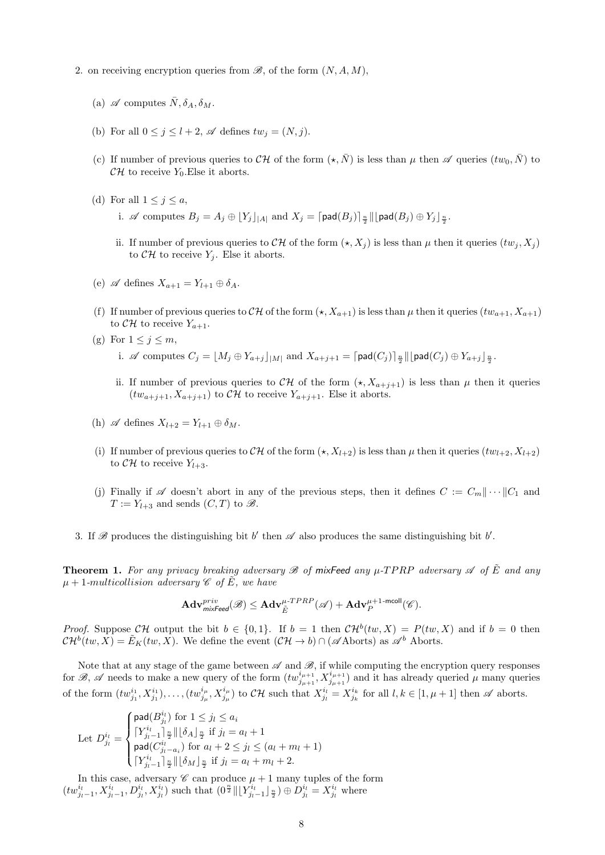- 2. on receiving encryption queries from  $\mathscr{B}$ , of the form  $(N, A, M)$ ,
	- (a)  $\mathscr A$  computes  $\bar N, \delta_A, \delta_M$ .
	- (b) For all  $0 \leq j \leq l+2$ ,  $\mathscr A$  defines  $tw_j = (N, j)$ .
	- (c) If number of previous queries to  $\mathcal{CH}$  of the form  $(\star, \bar{N})$  is less than  $\mu$  then  $\mathscr A$  queries  $(tw_0, \bar{N})$  to  $CH$  to receive  $Y_0$ . Else it aborts.
	- (d) For all  $1 \leq j \leq a$ ,
		- i.  $\mathscr A$  computes  $B_j = A_j \oplus [Y_j]_{|A|}$  and  $X_j = \lceil \mathsf{pad}(B_j) \rceil_{\frac{n}{2}} \rceil \lfloor \mathsf{pad}(B_j) \oplus Y_j \rfloor_{\frac{n}{2}}$ .
		- ii. If number of previous queries to CH of the form  $(\star, X_i)$  is less than  $\mu$  then it queries  $(tw_i, X_i)$ to  $\mathcal{CH}$  to receive  $Y_j$ . Else it aborts.
	- (e)  $\mathscr A$  defines  $X_{a+1} = Y_{l+1} \oplus \delta_A$ .
	- (f) If number of previous queries to  $\mathcal{CH}$  of the form  $(\star, X_{a+1})$  is less than  $\mu$  then it queries  $(tw_{a+1}, X_{a+1})$ to  $\mathcal{CH}$  to receive  $Y_{a+1}$ .
	- (g) For  $1 \leq j \leq m$ ,
		- i.  $\mathscr A$  computes  $C_j = \lfloor M_j \oplus Y_{a+j} \rfloor_{|M|}$  and  $X_{a+j+1} = \lceil \mathsf{pad}(C_j) \rceil_{\frac{n}{2}} \rceil \lfloor \mathsf{pad}(C_j) \oplus Y_{a+j} \rfloor_{\frac{n}{2}}$ .
		- ii. If number of previous queries to  $\mathcal{CH}$  of the form  $(\star, X_{a+j+1})$  is less than  $\mu$  then it queries  $(tw_{a+j+1}, X_{a+j+1})$  to  $\mathcal{CH}$  to receive  $Y_{a+j+1}$ . Else it aborts.
	- (h)  $\mathscr A$  defines  $X_{l+2} = Y_{l+1} \oplus \delta_M$ .
	- (i) If number of previous queries to  $\mathcal{CH}$  of the form  $(\star, X_{l+2})$  is less than  $\mu$  then it queries  $(tw_{l+2}, X_{l+2})$ to  $\mathcal{CH}$  to receive  $Y_{l+3}$ .
	- (j) Finally if  $\mathscr A$  doesn't abort in any of the previous steps, then it defines  $C := C_m || \cdots || C_1$  and  $T := Y_{l+3}$  and sends  $(C, T)$  to  $\mathscr{B}$ .
- 3. If  $\mathscr B$  produces the distinguishing bit b' then  $\mathscr A$  also produces the same distinguishing bit b'.

<span id="page-7-0"></span>**Theorem 1.** For any privacy breaking adversary  $\mathcal{B}$  of mixFeed any  $\mu$ -TPRP adversary  $\mathcal{A}$  of  $\tilde{E}$  and any  $\mu + 1$ -multicollision adversary  $\mathscr{C}$  of  $\tilde{E}$ , we have

$$
\mathbf{Adv}_{\mathsf{mix} \mathsf{feed}}^{\mathit{priv}}(\mathscr{B}) \leq \mathbf{Adv}_{\tilde{E}}^{\mu\text{-}TPRP}(\mathscr{A}) + \mathbf{Adv}_{P}^{\mu\text{-}1\text{-}\mathsf{mcoll}}(\mathscr{C}).
$$

*Proof.* Suppose CH output the bit  $b \in \{0,1\}$ . If  $b = 1$  then  $CH^b(tw, X) = P(tw, X)$  and if  $b = 0$  then  $\mathcal{CH}^{b}(tw,X)=\tilde{E}_{K}(tw,X).$  We define the event  $(\mathcal{CH}\rightarrow b)\cap(\mathscr{A}\text{Aborts})$  as  $\mathscr{A}^{b}$  Aborts.

Note that at any stage of the game between  $\mathscr A$  and  $\mathscr B$ , if while computing the encryption query responses for B, A needs to make a new query of the form  $(tw_{j_{\mu+1}}^{i_{\mu+1}}, X_{j_{\mu+1}}^{i_{\mu+1}})$  and it has already queried  $\mu$  many queries of the form  $(tw_{j_1}^{i_1}, X_{j_1}^{i_1}), \ldots, (tw_{j_\mu}^{i_\mu}, X_{j_\mu}^{i_\mu})$  to  $\mathcal{CH}$  such that  $X_{j_l}^{i_l} = X_{j_k}^{i_k}$  for all  $l, k \in [1, \mu + 1]$  then  $\mathscr A$  aborts.

Let 
$$
D_{j_l}^{i_l} = \begin{cases} \text{pad}(B_{j_l}^{i_l}) \text{ for } 1 \leq j_l \leq a_i \\ \lceil Y_{j_l-1}^{i_l} \rceil \frac{n}{2} \rceil \lceil \delta_A \rfloor \frac{n}{2} \text{ if } j_l = a_l + 1 \\ \text{pad}(C_{j_l-a_i}^{i_l}) \text{ for } a_l + 2 \leq j_l \leq (a_l + m_l + 1) \\ \lceil Y_{j_l-1}^{i_l} \rceil \frac{n}{2} \rceil \lceil \delta_M \rfloor \frac{n}{2} \text{ if } j_l = a_l + m_l + 2. \end{cases}
$$

In this case, adversary  $\mathscr C$  can produce  $\mu+1$  many tuples of the form  $(tw_{ji-1}^{i_l}, X_{ji-1}^{i_l}, D_{ji}^{i_l}, X_{ji}^{i_l})$  such that  $(0^{\frac{n}{2}} \| [Y_{ji-1}^{i_l}]_{\frac{n}{2}}) \oplus D_{ji}^{i_l} = X_{ji}^{i_l}$  where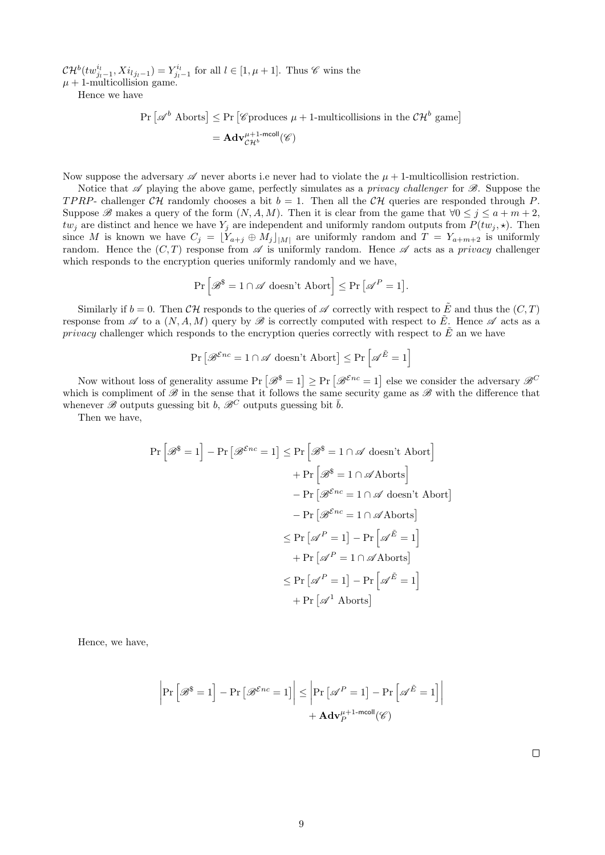$\mathcal{CH}^{b}(tw_{j_{l-1}}^{i_l},Xi_{l_{j_{l-1}}})=Y_{j_{l-1}}^{i_l}$  for all  $l \in [1, \mu+1]$ . Thus  $\mathscr C$  wins the  $\mu + 1$ -multicollision game.

Hence we have

$$
\begin{aligned} \Pr\left[\mathscr{A}^b \text{ Aborts}\right] &\leq \Pr\left[\mathscr{C}\text{produces } \mu + 1\text{-multicollisions in the } \mathcal{CH}^b \text{ game}\right] \\ & = \mathbf{Adv}_{\mathcal{CH}^b}^{\mu+1\text{-modl}}(\mathscr{C}) \end{aligned}
$$

Now suppose the adversary  $\mathscr A$  never aborts i.e never had to violate the  $\mu + 1$ -multicollision restriction.

Notice that  $\mathscr A$  playing the above game, perfectly simulates as a *privacy challenger* for  $\mathscr B$ . Suppose the TPRP- challenger  $CH$  randomly chooses a bit  $b = 1$ . Then all the CH queries are responded through P. Suppose B makes a query of the form  $(N, A, M)$ . Then it is clear from the game that  $\forall 0 \leq j \leq a+m+2$ ,  $tw_j$  are distinct and hence we have  $Y_j$  are independent and uniformly random outputs from  $P(tw_j, \star)$ . Then since M is known we have  $C_j = [Y_{a+j} \oplus M_j]_{|M|}$  are uniformly random and  $T = Y_{a+m+2}$  is uniformly random. Hence the  $(C, T)$  response from  $\mathscr A$  is uniformly random. Hence  $\mathscr A$  acts as a privacy challenger which responds to the encryption queries uniformly randomly and we have,

$$
\Pr\left[\mathscr{B}^\$ = 1 \cap \mathscr{A} \text{ doesn't Abort}\right] \leq \Pr\left[\mathscr{A}^P = 1\right].
$$

Similarly if  $b = 0$ . Then  $\mathcal{CH}$  responds to the queries of  $\mathscr A$  correctly with respect to  $\tilde E$  and thus the  $(C, T)$ response from  $\mathscr A$  to a  $(N, A, M)$  query by  $\mathscr B$  is correctly computed with respect to  $\tilde E$ . Hence  $\mathscr A$  acts as a *privacy* challenger which responds to the encryption queries correctly with respect to  $\tilde{E}$  an we have

$$
\Pr\left[\mathcal{B}^{\mathcal{E}nc} = 1 \cap \mathcal{A} \text{ doesn't Abort}\right] \le \Pr\left[\mathcal{A}^{\tilde{E}} = 1\right]
$$

Now without loss of generality assume  $Pr[\mathscr{B}^{\$} = 1] \geq Pr[\mathscr{B}^{\mathcal{E}nc} = 1]$  else we consider the adversary  $\mathscr{B}^{\mathcal{C}}$ which is compliment of  $\mathscr B$  in the sense that it follows the same security game as  $\mathscr B$  with the difference that whenever  $\mathscr{B}$  outputs guessing bit b,  $\mathscr{B}^C$  outputs guessing bit  $\bar{b}$ .

Then we have,

$$
\Pr\left[\mathcal{B}^{\$}=1\right]-\Pr\left[\mathcal{B}^{\mathcal{E}nc}=1\right]\leq\Pr\left[\mathcal{B}^{\$}=1\cap\mathcal{A}\text{ doesn't Abort}\right] \n+\Pr\left[\mathcal{B}^{\$}=1\cap\mathcal{A}\text{Aborts}\right] \n-\Pr\left[\mathcal{B}^{\mathcal{E}nc}=1\cap\mathcal{A}\text{ doesn't Abort}\right] \n-\Pr\left[\mathcal{B}^{\mathcal{E}nc}=1\cap\mathcal{A}\text{Aborts}\right] \n\leq\Pr\left[\mathcal{A}^{P}=1\right]-\Pr\left[\mathcal{A}^{\tilde{E}}=1\right] \n+\Pr\left[\mathcal{A}^{P}=1\cap\mathcal{A}\text{Aborts}\right] \n\leq\Pr\left[\mathcal{A}^{P}=1\right]-\Pr\left[\mathcal{A}^{\tilde{E}}=1\right] \n+\Pr\left[\mathcal{A}^{1}\text{ Aborts}\right]
$$

Hence, we have,

$$
\left| \Pr \left[ \mathcal{B}^{\$} = 1 \right] - \Pr \left[ \mathcal{B}^{\mathcal{E}nc} = 1 \right] \right| \leq \left| \Pr \left[ \mathcal{A}^{P} = 1 \right] - \Pr \left[ \mathcal{A}^{\tilde{E}} = 1 \right] \right|
$$

$$
+ \mathbf{Adv}_{P}^{\mu+1\text{-modl}}(\mathcal{C})
$$

 $\Box$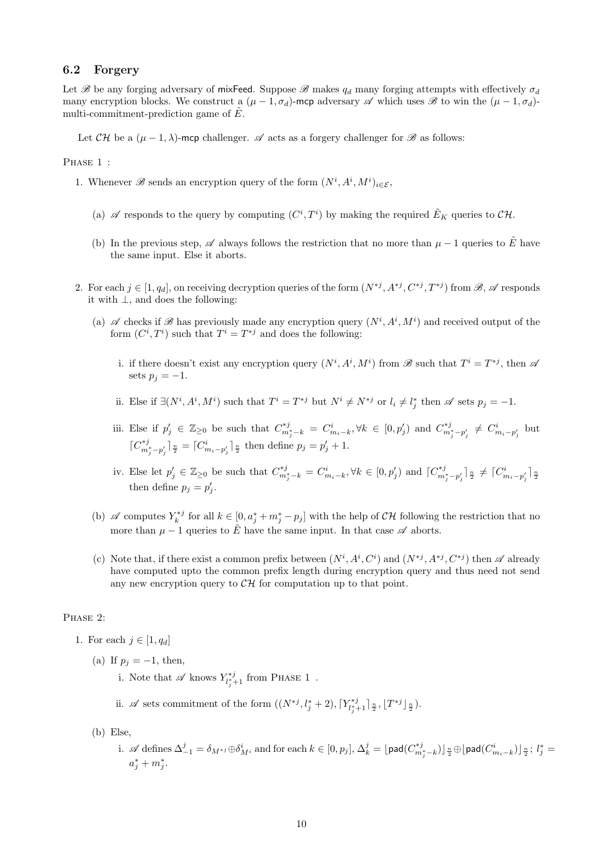#### 6.2 Forgery

Let  $\mathscr B$  be any forging adversary of mixFeed. Suppose  $\mathscr B$  makes  $q_d$  many forging attempts with effectively  $\sigma_d$ many encryption blocks. We construct a  $(\mu - 1, \sigma_d)$ -mcp adversary  $\mathscr A$  which uses  $\mathscr B$  to win the  $(\mu - 1, \sigma_d)$ multi-commitment-prediction game of  $E$ .

Let  $\mathcal{CH}$  be a  $(\mu - 1, \lambda)$ -mcp challenger.  $\mathscr A$  acts as a forgery challenger for  $\mathscr B$  as follows:

#### PHASE 1 :

- 1. Whenever  $\mathscr B$  sends an encryption query of the form  $(N^i, A^i, M^i)_{i \in \mathcal{E}}$ ,
	- (a)  $\mathscr A$  responds to the query by computing  $(C^i, T^i)$  by making the required  $\tilde{E}_K$  queries to  $\mathcal{CH}$ .
	- (b) In the previous step,  $\mathscr A$  always follows the restriction that no more than  $\mu 1$  queries to E have the same input. Else it aborts.
- 2. For each  $j \in [1, q_d]$ , on receiving decryption queries of the form  $(N^{*j}, A^{*j}, C^{*j}, T^{*j})$  from  $\mathscr{B}, \mathscr{A}$  responds it with ⊥, and does the following:
	- (a)  $\mathscr A$  checks if  $\mathscr B$  has previously made any encryption query  $(N^i, A^i, M^i)$  and received output of the form  $(C^i, T^i)$  such that  $T^i = T^{*j}$  and does the following:
		- i. if there doesn't exist any encryption query  $(N^i, A^i, M^i)$  from  $\mathscr{B}$  such that  $T^i = T^{*j}$ , then  $\mathscr{A}$ sets  $p_i = -1$ .
		- ii. Else if  $\exists (N^i, A^i, M^i)$  such that  $T^i = T^{*j}$  but  $N^i \neq N^{*j}$  or  $l_i \neq l^*_j$  then  $\mathscr A$  sets  $p_j = -1$ .
		- iii. Else if  $p'_j \in \mathbb{Z}_{\geq 0}$  be such that  $C^{*j}_{m_j^* k} = C^i_{m_i k}$ ,  $\forall k \in [0, p'_j)$  and  $C^{*j}_{m_j^* p'_j} \neq C^i_{m_i p'_j}$  but  $[C^{*j}_{m_j^* - p'_j}]_{\frac{n}{2}}^{\frac{n}{2}} = [C^i_{m_i - p'_j}]_{\frac{n}{2}}^{\frac{n}{2}}$  then define  $p_j = p'_j + 1$ .
		- iv. Else let  $p'_j \in \mathbb{Z}_{\geq 0}$  be such that  $C^{*j}_{m^*_j k} = C^i_{m_i k}$ ,  $\forall k \in [0, p'_j)$  and  $[C^{*j}_{m^*_j p'_j}]_{\frac{n}{2}} \neq [C^i_{m_i p'_j}]_{\frac{n}{2}}$ then define  $p_j = p'_j$ .
	- (b)  $\mathscr A$  computes  $Y_k^{*j}$  for all  $k \in [0, a_j^* + m_j^* p_j]$  with the help of  $\mathcal{CH}$  following the restriction that no more than  $\mu - 1$  queries to  $\tilde{E}$  have the same input. In that case  $\mathscr A$  aborts.
	- (c) Note that, if there exist a common prefix between  $(N^i, A^i, C^i)$  and  $(N^{*j}, A^{*j}, C^{*j})$  then  $\mathscr A$  already have computed upto the common prefix length during encryption query and thus need not send any new encryption query to  $\mathcal{CH}$  for computation up to that point.

#### PHASE 2:

- 1. For each  $j \in [1, q_d]$ 
	- (a) If  $p_j = -1$ , then,
		- i. Note that  $\mathscr A$  knows  $Y_{l_j^*+1}^{*j}$  from PHASE 1.
		- ii.  $\mathscr A$  sets commitment of the form  $((N^{*j}, l^*_j + 2), \lceil Y^{*j}_{l^*_j+1} \rceil_{\frac{n}{2}}, \lfloor T^{*j} \rfloor_{\frac{n}{2}})$ .
	- (b) Else,
		- i.  $\mathscr A$  defines  $\Delta_{-1}^j = \delta_{M^{*j}} \oplus \delta_{M^i}^i$  and for each  $k \in [0,p_j],$   $\Delta_k^j = \lfloor \mathsf{pad}(C^{*j}_{m_j^*-k}) \rfloor_{\frac{n}{2}} \oplus \lfloor \mathsf{pad}(C^i_{m_i-k}) \rfloor_{\frac{n}{2}};$   $l_j^* =$  $a_j^* + m_j^*$ .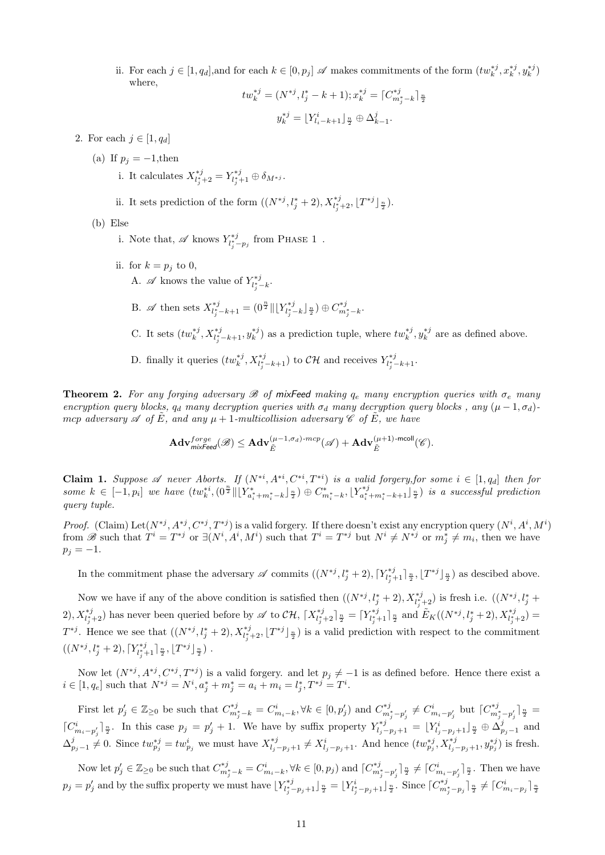ii. For each  $j \in [1, q_d]$ , and for each  $k \in [0, p_j]$   $\mathscr A$  makes commitments of the form  $(tw_k^{*j}, x_k^{*j}, y_k^{*j})$ where,

$$
tw_k^{*j} = (N^{*j}, l_j^* - k + 1); x_k^{*j} = \lceil C_{m_j^* - k}^{*j} \rceil_{\frac{n}{2}}
$$

$$
y_k^{*j} = \lfloor Y_{l_i - k + 1}^i \rfloor_{\frac{n}{2}} \oplus \Delta_{k-1}^j.
$$

- 2. For each  $j \in [1, q_d]$ 
	- (a) If  $p_i = -1$ , then
		- i. It calculates  $X^{*j}_{l_j^*+2} = Y^{*j}_{l_j^*+1} \oplus \delta_{M^{*j}}.$
		- ii. It sets prediction of the form  $((N^{*j}, l_j^* + 2), X^{*j}_{l_j^*+2}, \lfloor T^{*j} \rfloor \frac{n}{2}).$

(b) Else

- i. Note that,  $\mathscr A$  knows  $Y^{*j}_{l_j^* p_j}$  from PHASE 1.
- ii. for  $k = p_i$  to 0, A.  $\mathscr A$  knows the value of  $Y_{l_j^*-k}^{*j}$ .
	- B.  $\mathscr A$  then sets  $X^{*j}_{l_j^* k + 1} = (0^{\frac{n}{2}} || [Y^{*j}_{l_j^* k}]^{\frac{n}{2}}) \oplus C^{*j}_{m_j^* k}.$
	- C. It sets  $(tw_k^{*j}, X_{l_j^*-k+1}^{*j}, y_k^{*j})$  as a prediction tuple, where  $tw_k^{*j}, y_k^{*j}$  are as defined above.
	- D. finally it queries  $(tw_k^{*j}, X_{l_j^* k + 1}^{*j})$  to  $\mathcal{CH}$  and receives  $Y_{l_j^* k + 1}^{*j}$ .

<span id="page-10-0"></span>**Theorem 2.** For any forging adversary  $\mathscr B$  of mixFeed making  $q_e$  many encryption queries with  $\sigma_e$  many encryption query blocks,  $q_d$  many decryption queries with  $\sigma_d$  many decryption query blocks, any  $(\mu - 1, \sigma_d)$ mcp adversary  $\mathscr A$  of E, and any  $\mu+1$ -multicollision adversary  $\mathscr C$  of E, we have

$$
\mathbf{Adv}_{\mathit{mixfeed}}^{\mathit{forget}}(\mathscr{B}) \leq \mathbf{Adv}_{\tilde{E}}^{(\mu-1,\sigma_d)\text{-}mcp}(\mathscr{A}) + \mathbf{Adv}_{\tilde{E}}^{(\mu+1)\text{-}mcoll}(\mathscr{C}).
$$

<span id="page-10-1"></span>Claim 1. Suppose A never Aborts. If  $(N^{*i}, A^{*i}, C^{*i}, T^{*i})$  is a valid forgery, for some  $i \in [1, q_d]$  then for some  $k \in [-1, p_i]$  we have  $(tw_k^{*i}, (\theta^{\frac{n}{2}} \|\big[Y_{a_i^*+m_i^*-k}^*\big]_{\frac{n}{2}}) \oplus C_{m_i^*-k}^*, \lfloor Y_{a_i^*+m_i^*-k+1}^{*j} \rfloor_{\frac{n}{2}})$  is a successful prediction query tuple.

*Proof.* (Claim) Let  $(N^{*j}, A^{*j}, C^{*j}, T^{*j})$  is a valid forgery. If there doesn't exist any encryption query  $(N^i, A^i, M^i)$ from B such that  $T^i = T^{*j}$  or  $\exists (N^i, A^i, M^i)$  such that  $T^i = T^{*j}$  but  $N^i \neq N^{*j}$  or  $m_j^* \neq m_i$ , then we have  $p_j = -1.$ 

In the commitment phase the adversary  $\mathscr A$  commits  $((N^{*j}, l_j^* + 2), [Y_{l_j^*+1}^{*j}]_{\frac{n}{2}}, [T^{*j}]_{\frac{n}{2}})$  as descibed above.

Now we have if any of the above condition is satisfied then  $((N^*j, l^*_j + 2), X^{*j}_{l^*_j+2})$  is fresh i.e.  $((N^{*j}, l^*_j +$ 2),  $X^{*j}_{l_j^*+2}$  has never been queried before by  $\mathscr A$  to  $\mathcal{CH}$ ,  $[X^{*j}_{l_j^*+2}]_{\frac{n}{2}} = [Y^{*j}_{l_j^*+1}]_{\frac{n}{2}}$  and  $\tilde{E}_K((N^{*j}, l_j^* + 2), X^{*j}_{l_j^*+2}) =$  $T^{*j}$ . Hence we see that  $((N^{*j}, l^*_j + 2), X^{*j}_{l^*_j+2}, \lfloor T^{*j} \rfloor \frac{n}{2})$  is a valid prediction with respect to the commitment  $((N^{*j}, l_j^* + 2), \lceil Y_{l_j^* + 1}^{*j} \rceil \frac{n}{2}, \lfloor T^{*j} \rfloor \frac{n}{2})$ .

Now let  $(N^{*j}, A^{*j}, C^{*j}, T^{*j})$  is a valid forgery. and let  $p_j \neq -1$  is as defined before. Hence there exist a  $i \in [1, q_e]$  such that  $N^{*j} = N^i, a_j^* + m_j^* = a_i + m_i = l_j^*, T^{*j} = T^i.$ 

First let  $p'_j \in \mathbb{Z}_{\geq 0}$  be such that  $C^{*j}_{m^*_j - k} = C^i_{m_i - k}$ ,  $\forall k \in [0, p'_j)$  and  $C^{*j}_{m^*_j - p'_j} \neq C^i_{m_i - p'_j}$  but  $[C^{*j}_{m^*_j - p'_j}]_{\frac{n}{2}} =$  $[C_{m_i-p'_j}]_{\frac{n}{2}}^i$ . In this case  $p_j = p'_j + 1$ . We have by suffix property  $Y_{l_j-p_j+1}^{*j} = \lfloor Y_{l_j-p_j+1}^i \rfloor_{\frac{n}{2}} \oplus \Delta_{p_j-1}^j$  and  $\Delta_{p_j-1}^j \neq 0$ . Since  $tw_{p_j}^{*j} = tw_{p_j}^i$  we must have  $X_{l_j-p_j+1}^{*j} \neq X_{l_j-p_j+1}^i$ . And hence  $(tw_{p_j}^{*j}, X_{l_j-p_j+1}^{*j}, y_{p_j}^{*j})$  is fresh.

Now let  $p'_j \in \mathbb{Z}_{\geq 0}$  be such that  $C^{*j}_{m^*_j - k} = C^i_{m_i - k}$ ,  $\forall k \in [0, p_j)$  and  $\lceil C^{*j}_{m^*_j - p'_j} \rceil \frac{n}{2} \neq \lceil C^i_{m_i - p'_j} \rceil \frac{n}{2}$ . Then we have  $p_j = p'_j$  and by the suffix property we must have  $\lfloor Y^{*j}_{l_j^*-p_j+1} \rfloor \frac{n}{2} = \lfloor Y^i_{l_j^*-p_j+1} \rfloor \frac{n}{2}$ . Since  $\lceil C^{*j}_{m_j^*-p_j} \rceil \frac{n}{2} \neq \lceil C^i_{m_i^*-p_j} \rceil \frac{n}{2}$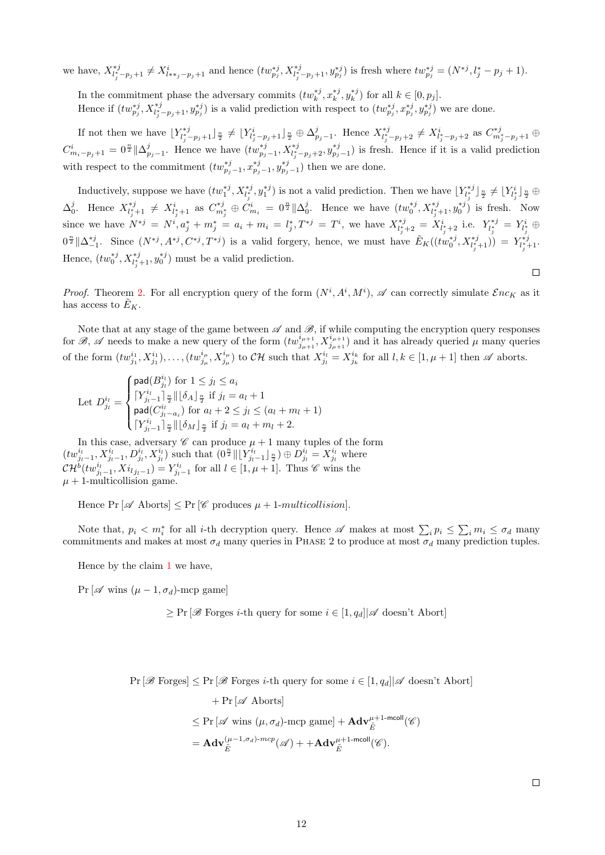we have,  $X^{*j}_{l_j^* - p_j + 1} \neq X^i_{l_{**j} - p_j + 1}$  and hence  $(tw^{*j}_{p_j}, X^{*j}_{l_j^* - p_j + 1}, y^{*j}_{p_j})$  is fresh where  $tw^{*j}_{p_j} = (N^{*j}, l_j^* - p_j + 1)$ .

In the commitment phase the adversary commits  $(tw_k^{*j}, x_k^{*j}, y_k^{*j})$  for all  $k \in [0, p_j]$ . Hence if  $(tw_{p_j}^{*j}, X_{l_j^* - p_j+1}^{*j}, y_{p_j}^{*j})$  is a valid prediction with respect to  $(tw_{p_j}^{*j}, x_{p_j}^{*j}, y_{p_j}^{*j})$  we are done.

If not then we have  $Y_{l_j^* - p_j + 1}^{*j} \rvert_{\frac{n}{2}} \neq \lfloor Y_{l_j^* - p_j + 1}^i \rfloor_{\frac{n}{2}} \oplus \Delta_{p_j - 1}^j$ . Hence  $X_{l_j^* - p_j + 2}^{*j} \neq X_{l_j^* - p_j + 2}^i$  as  $C_{m_j^* - p_j + 1}^{*j} \oplus$  $C_{m_i-p_j+1}^i = 0^{\frac{n}{2}} \|\Delta_{p_j-1}^j$ . Hence we have  $(tw_{p_j-1}^{*j}, X_{l_j^*-p_j+2}^{*j}, y_{p_j-1}^{*j})$  is fresh. Hence if it is a valid prediction with respect to the commitment  $(tw_{p_j-1}^{*j}, x_{p_j-1}^{*j}, y_{p_j-1}^{*j})$  then we are done.

Inductively, suppose we have  $(tw_1^{*j}, X_{l_j^*}^{*j}, y_1^{*j})$  is not a valid prediction. Then we have  $\lfloor Y_{l_j^*}^{*j} \rfloor_{\frac{n}{2}} \neq \lfloor Y_{l_j^*}^{i} \rfloor_{\frac{n}{2}} \oplus$  $\Delta_0^j$ . Hence  $X^{*j}_{l_j^*+1} \neq X^{i}_{l_j^*+1}$  as  $C^{*j}_{m_j^*} \oplus C^{i}_{m_i} = 0^{\frac{n}{2}} \|\Delta_0^j$ . Hence we have  $(tw_0^{*j}, X^{*j}_{l_j^*+1}, y_0^{*j})$  is fresh. Now since we have  $N^{*j} = N^i, a_j^* + m_j^* = a_i + m_i = l_j^*, T^{*j} = T^i$ , we have  $X^{*j}_{l_j^*+2} = X^{i}_{l_j^*+2}$  i.e.  $Y^{*j}_{l_j^*} = Y^{i}_{l_j^*} \oplus$  $0^{\frac{n}{2}} \|\Delta_{-1}^{*j}$ . Since  $(N^{*j}, A^{*j}, C^{*j}, T^{*j})$  is a valid forgery, hence, we must have  $\tilde{E}_K((tw_0^{*j}, X_{l_j^*+1}^{*j})) = Y_{l_j^*+1}^{*j}$ . Hence,  $(tw_0^{*j}, X_{l_j^*+1}^{*j}, y_0^{*j})$  must be a valid prediction.  $\Box$ 

*Proof.* Theorem [2.](#page-10-0) For all encryption query of the form  $(N^i, A^i, M^i)$ ,  $\mathscr A$  can correctly simulate  $\mathcal Enc_K$  as it has access to  $E_K$ .

Note that at any stage of the game between  $\mathscr A$  and  $\mathscr B$ , if while computing the encryption query responses for B, A needs to make a new query of the form  $(tw_{j_{\mu+1}}^{i_{\mu+1}}, X_{j_{\mu+1}}^{i_{\mu+1}})$  and it has already queried  $\mu$  many queries of the form  $(tw_{j_1}^{i_1}, X_{j_1}^{i_1}), \ldots, (tw_{j_\mu}^{i_\mu}, X_{j_\mu}^{i_\mu})$  to  $\mathcal{CH}$  such that  $X_{j_l}^{i_l} = X_{j_k}^{i_k}$  for all  $l, k \in [1, \mu + 1]$  then  $\mathscr A$  aborts.

Let 
$$
D_{j_l}^{i_l} = \begin{cases} \text{pad}(B_{j_l}^{i_l}) \text{ for } 1 \leq j_l \leq a_i \\ \lceil Y_{j_l-1}^{i_l} \rceil \frac{n}{2} \rceil \lceil \delta_A \rfloor \frac{n}{2} \text{ if } j_l = a_l + 1 \\ \text{pad}(C_{j_l-a_i}^{i_l}) \text{ for } a_l + 2 \leq j_l \leq (a_l + m_l + 1) \\ \lceil Y_{j_l-1}^{i_l} \rceil \frac{n}{2} \rceil \lceil \delta_M \rfloor \frac{n}{2} \text{ if } j_l = a_l + m_l + 2. \end{cases}
$$

In this case, adversary  $\mathscr C$  can produce  $\mu + 1$  many tuples of the form  $(tw^{i_l}_{j_l-1}, X^{i_l}_{j_l-1}, D^{i_l}_{j_l}, X^{i_l}_{j_l})$  such that  $(0^{\frac{n}{2}} \| [Y^{i_l}_{j_l-1}]_{\frac{n}{2}}) \oplus D^{i_l}_{j_l} = X^{i_l}_{j_l}$  where  $\mathcal{CH}^{b}(tw_{j_{l}-1}^{i_l},Xi_{l_{j_{l}-1}})=Y_{j_{l}-1}^{i_l}$  for all  $l \in [1, \mu+1]$ . Thus  $\mathscr C$  wins the  $\mu + 1$ -multicollision game.

Hence  $Pr[\mathscr{A}$  Aborts $] \leq Pr[\mathscr{C}$  produces  $\mu + 1\text{-}multipulsion]$ .

Note that,  $p_i < m_i^*$  for all *i*-th decryption query. Hence  $\mathscr A$  makes at most  $\sum_i p_i \leq \sum_i m_i \leq \sigma_d$  many commitments and makes at most  $\sigma_d$  many queries in PHASE 2 to produce at most  $\sigma_d$  many prediction tuples.

Hence by the claim [1](#page-10-1) we have,

Pr [ $\mathscr A$  wins  $(\mu - 1, \sigma_d)$ -mcp game]

 $\geq \Pr[\mathscr{B}$  Forges *i*-th query for some  $i \in [1, q_d] | \mathscr{A}$  doesn't Abort]

 $Pr[\mathscr{B}$  Forges $] \leq Pr[\mathscr{B}$  Forges *i*-th query for some  $i \in [1, q_d] | \mathscr{A}$  doesn't Abort

+ Pr [
$$
\mathscr{A}
$$
 Aborts]  
\n $\leq$  Pr [ $\mathscr{A}$  wins  $(\mu, \sigma_d)$ -mcp game] +  $\mathbf{Adv}_{\tilde{E}}^{\mu+1-\text{mcoll}}(\mathscr{C})$   
\n=  $\mathbf{Adv}_{\tilde{E}}^{(\mu-1,\sigma_d)-mcp}(\mathscr{A})$  +  $+\mathbf{Adv}_{\tilde{E}}^{\mu+1-\text{mcoll}}(\mathscr{C})$ .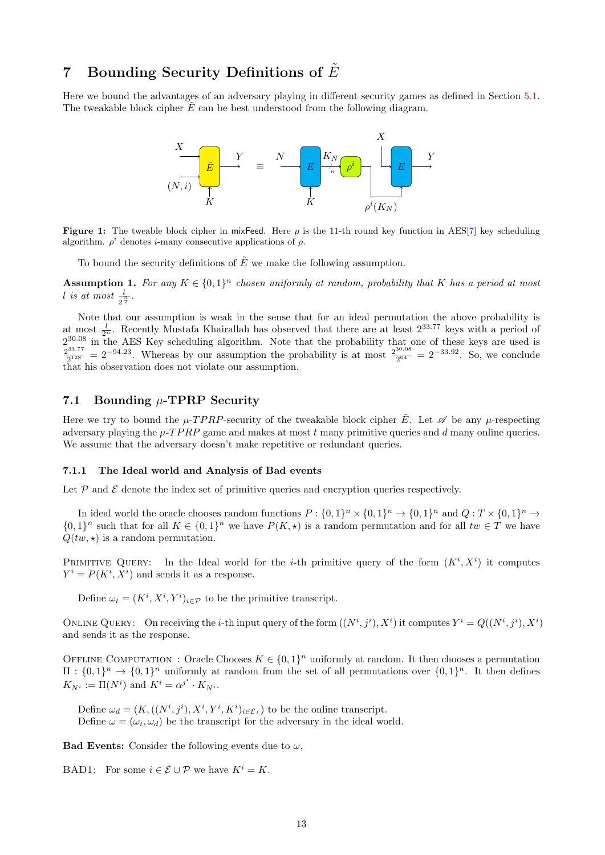## 7 Bounding Security Definitions of  $E$

Here we bound the advantages of an adversary playing in different security games as defined in Section [5.1.](#page-5-0) The tweakable block cipher  $\tilde{E}$  can be best understood from the following diagram.



**Figure 1:** The tweable block cipher in mixFeed. Here  $\rho$  is the 11-th round key function in AES[\[7\]](#page-18-0) key scheduling algorithm.  $\rho^i$  denotes *i*-many consecutive applications of  $\rho$ .

To bound the security definitions of  $\tilde{E}$  we make the following assumption.

<span id="page-12-0"></span>**Assumption 1.** For any  $K \in \{0,1\}^n$  chosen uniformly at random, probability that K has a period at most l is at most  $\frac{l}{2^{\frac{n}{2}}}$ .

Note that our assumption is weak in the sense that for an ideal permutation the above probability is at most  $\frac{l}{2^n}$ . Recently Mustafa Khairallah has observed that there are at least  $2^{33.77}$  keys with a period of  $2^{30.08}$  in the AES Key scheduling algorithm. Note that the probability that one of these keys are used is  $2^{33.77}$  $\frac{2^{33.77}}{2^{128}} = 2^{-94.23}$ . Whereas by our assumption the probability is at most  $\frac{2^{30.08}}{2^{64}}$  $\frac{30.08}{2^{64}} = 2^{-33.92}$ . So, we conclude that his observation does not violate our assumption.

## 7.1 Bounding  $\mu$ -TPRP Security

Here we try to bound the  $\mu$ -TPRP-security of the tweakable block cipher  $\tilde{E}$ . Let  $\mathscr A$  be any  $\mu$ -respecting adversary playing the  $\mu$ -T PRP game and makes at most t many primitive queries and d many online queries. We assume that the adversary doesn't make repetitive or redundant queries.

#### 7.1.1 The Ideal world and Analysis of Bad events

Let  $P$  and  $E$  denote the index set of primitive queries and encryption queries respectively.

In ideal world the oracle chooses random functions  $P: \{0,1\}^n \times \{0,1\}^n \to \{0,1\}^n$  and  $Q: T \times \{0,1\}^n \to$  $\{0,1\}^n$  such that for all  $K \in \{0,1\}^n$  we have  $P(K, \star)$  is a random permutation and for all  $tw \in T$  we have  $Q(tw, \star)$  is a random permutation.

PRIMITIVE QUERY: In the Ideal world for the *i*-th primitive query of the form  $(K^i, X^i)$  it computes  $Y^i = P(K^i, X^i)$  and sends it as a response.

Define  $\omega_t = (K^i, X^i, Y^i)_{i \in \mathcal{P}}$  to be the primitive transcript.

ONLINE QUERY: On receiving the *i*-th input query of the form  $((N^i, j^i), X^i)$  it computes  $Y^i = Q((N^i, j^i), X^i)$ and sends it as the response.

OFFLINE COMPUTATION : Oracle Chooses  $K \in \{0,1\}^n$  uniformly at random. It then chooses a permutation  $\Pi: \{0,1\}^n \to \{0,1\}^n$  uniformly at random from the set of all permutations over  $\{0,1\}^n$ . It then defines  $K_{N^i} := \Pi(N^i)$  and  $K^i = \alpha^{j^i} \cdot K_{N^i}$ .

Define  $\omega_d = (K, ((N^i, j^i), X^i, Y^i, K^i)_{i \in \mathcal{E}},)$  to be the online transcript. Define  $\omega = (\omega_t, \omega_d)$  be the transcript for the adversary in the ideal world.

**Bad Events:** Consider the following events due to  $\omega$ ,

BAD1: For some  $i \in \mathcal{E} \cup \mathcal{P}$  we have  $K^i = K$ .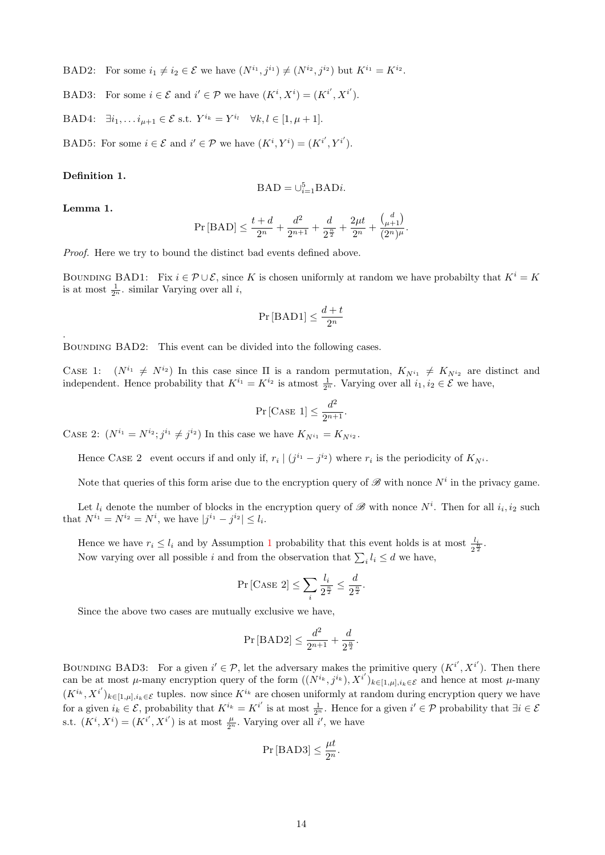BAD2: For some  $i_1 \neq i_2 \in \mathcal{E}$  we have  $(N^{i_1}, j^{i_1}) \neq (N^{i_2}, j^{i_2})$  but  $K^{i_1} = K^{i_2}$ .

BAD3: For some  $i \in \mathcal{E}$  and  $i' \in \mathcal{P}$  we have  $(K^i, X^i) = (K^{i'}, X^{i'})$ .

BAD4:  $\exists i_1, \ldots i_{\mu+1} \in \mathcal{E}$  s.t.  $Y^{i_k} = Y^{i_l} \quad \forall k, l \in [1, \mu + 1].$ 

BAD5: For some  $i \in \mathcal{E}$  and  $i' \in \mathcal{P}$  we have  $(K^i, Y^i) = (K^{i'}, Y^{i'}).$ 

#### Definition 1.

$$
BAD=\cup_{i=1}^{5}BADi.
$$

Lemma 1.

.

$$
\Pr[\text{BAD}] \le \frac{t+d}{2^n} + \frac{d^2}{2^{n+1}} + \frac{d}{2^{\frac{n}{2}}} + \frac{2\mu t}{2^n} + \frac{\binom{d}{\mu+1}}{(2^n)^{\mu}}.
$$

Proof. Here we try to bound the distinct bad events defined above.

BOUNDING BAD1: Fix  $i \in \mathcal{P} \cup \mathcal{E}$ , since K is chosen uniformly at random we have probabilty that  $K^i = K$ is at most  $\frac{1}{2^n}$ . similar Varying over all *i*,

$$
\Pr\left[\text{BAD1}\right] \le \frac{d+t}{2^n}
$$

BOUNDING BAD2: This event can be divided into the following cases.

CASE 1:  $(N^{i_1} \neq N^{i_2})$  In this case since  $\Pi$  is a random permutation,  $K_{N^{i_1}} \neq K_{N^{i_2}}$  are distinct and independent. Hence probability that  $K^{i_1} = K^{i_2}$  is atmost  $\frac{1}{2^n}$ . Varying over all  $i_1, i_2 \in \mathcal{E}$  we have,

$$
\Pr\left[\text{CASE 1}\right] \le \frac{d^2}{2^{n+1}}.
$$

CASE 2:  $(N^{i_1} = N^{i_2}; j^{i_1} \neq j^{i_2})$  In this case we have  $K_{N^{i_1}} = K_{N^{i_2}}$ .

Hence CASE 2 event occurs if and only if,  $r_i \mid (j^{i_1} - j^{i_2})$  where  $r_i$  is the periodicity of  $K_{N^i}$ .

Note that queries of this form arise due to the encryption query of  $\mathscr{B}$  with nonce  $N^i$  in the privacy game.

Let  $l_i$  denote the number of blocks in the encryption query of  $\mathscr{B}$  with nonce  $N^i$ . Then for all  $i_i, i_2$  such that  $N^{i_1} = N^{i_2} = N^i$ , we have  $|j^{i_1} - j^{i_2}| \leq l_i$ .

Hence we have  $r_i \leq l_i$  and by Assumption [1](#page-12-0) probability that this event holds is at most  $\frac{l_i}{2^{\frac{k}{2}}}$ . Now varying over all possible *i* and from the observation that  $\sum_i l_i \leq d$  we have,

$$
\Pr\left[\text{CASE 2}\right] \le \sum_{i} \frac{l_i}{2^{\frac{n}{2}}} \le \frac{d}{2^{\frac{n}{2}}}.
$$

Since the above two cases are mutually exclusive we have,

$$
\Pr[\text{BAD2}] \le \frac{d^2}{2^{n+1}} + \frac{d}{2^{\frac{n}{2}}}.
$$

BOUNDING BAD3: For a given  $i' \in \mathcal{P}$ , let the adversary makes the primitive query  $(K^{i'}, X^{i'})$ . Then there can be at most  $\mu$ -many encryption query of the form  $((N^{i_k}, j^{i_k}), X^{i'})_{k \in [1,\mu], i_k \in \mathcal{E}}$  and hence at most  $\mu$ -many  $(K^{i_k}, X^{i'})_{k \in [1,\mu], i_k \in \mathcal{E}}$  tuples. now since  $K^{i_k}$  are chosen uniformly at random during encryption query we have for a given  $i_k \in \mathcal{E}$ , probability that  $K^{i_k} = K^{i'}$  is at most  $\frac{1}{2^n}$ . Hence for a given  $i' \in \mathcal{P}$  probability that  $\exists i \in \mathcal{E}$ s.t.  $(K^i, X^i) = (K^{i'}, X^{i'})$  is at most  $\frac{\mu}{2^n}$ . Varying over all i', we have

$$
\Pr\left[\text{BAD3}\right] \le \frac{\mu t}{2^n}.
$$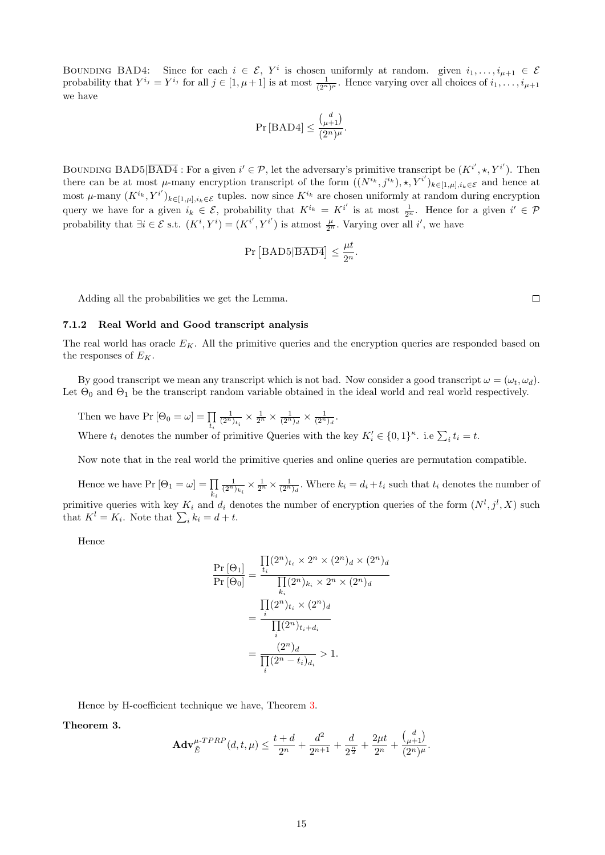BOUNDING BAD4: Since for each  $i \in \mathcal{E}$ ,  $Y^i$  is chosen uniformly at random. given  $i_1, \ldots, i_{\mu+1} \in \mathcal{E}$ probability that  $Y^{i_j} = Y^{i_j}$  for all  $j \in [1, \mu + 1]$  is at most  $\frac{1}{(2^n)^{\mu}}$ . Hence varying over all choices of  $i_1, \ldots, i_{\mu+1}$ we have

$$
\Pr\left[\text{BAD4}\right] \le \frac{\binom{d}{\mu+1}}{(2^n)^{\mu}}.
$$

BOUNDING BAD5  $\boxed{BAD4}$ : For a given  $i' \in \mathcal{P}$ , let the adversary's primitive transcript be  $(K^{i'}, \star, Y^{i'})$ . Then there can be at most  $\mu$ -many encryption transcript of the form  $((N^{i_k}, j^{i_k}), \star, Y^{i'})_{k \in [1,\mu], i_k \in \mathcal{E}}$  and hence at most  $\mu$ -many  $(K^{i_k}, Y^{i'})_{k \in [1,\mu], i_k \in \mathcal{E}}$  tuples. now since  $K^{i_k}$  are chosen uniformly at random during encryption query we have for a given  $i_k \in \mathcal{E}$ , probability that  $K^{i_k} = K^{i'}$  is at most  $\frac{1}{2^n}$ . Hence for a given  $i' \in \mathcal{P}$ probability that  $\exists i \in \mathcal{E}$  s.t.  $(K^i, Y^i) = (K^{i'}, Y^{i'})$  is atmost  $\frac{\mu}{2^n}$ . Varying over all i', we have

$$
Pr [BAD5|\overline{BAD4}] \le \frac{\mu t}{2^n}.
$$

Adding all the probabilities we get the Lemma.

#### 7.1.2 Real World and Good transcript analysis

The real world has oracle  $E_K$ . All the primitive queries and the encryption queries are responded based on the responses of  $E_K$ .

By good transcript we mean any transcript which is not bad. Now consider a good transcript  $\omega = (\omega_t, \omega_d)$ . Let  $\Theta_0$  and  $\Theta_1$  be the transcript random variable obtained in the ideal world and real world respectively.

Then we have  $Pr[\Theta_0 = \omega] = \prod_{t_i}$  $\frac{1}{(2^n)_{t_i}} \times \frac{1}{2^n} \times \frac{1}{(2^n)_d} \times \frac{1}{(2^n)_d}.$ Where  $t_i$  denotes the number of primitive Queries with the key  $K'_i \in \{0,1\}^{\kappa}$ . i.e  $\sum_i t_i = t$ .

Now note that in the real world the primitive queries and online queries are permutation compatible.

Hence we have  $Pr[\Theta_1 = \omega] = \prod$ ki  $\frac{1}{(2^n)_{k_i}} \times \frac{1}{2^n} \times \frac{1}{(2^n)_d}$ . Where  $k_i = d_i + t_i$  such that  $t_i$  denotes the number of primitive queries with key  $K_i$  and  $d_i$  denotes the number of encryption queries of the form  $(N^l, j^l, X)$  such that  $K^l = K_i$ . Note that  $\sum_i k_i = d + t$ .

Hence

$$
\frac{\Pr\left[\Theta_{1}\right]}{\Pr\left[\Theta_{0}\right]} = \frac{\prod_{i} (2^{n})_{t_{i}} \times 2^{n} \times (2^{n})_{d} \times (2^{n})_{d}}{\prod_{i} (2^{n})_{k_{i}} \times 2^{n} \times (2^{n})_{d}}
$$
\n
$$
= \frac{\prod_{i} (2^{n})_{t_{i}} \times (2^{n})_{d}}{\prod_{i} (2^{n})_{t_{i} + d_{i}}}
$$
\n
$$
= \frac{(2^{n})_{d}}{\prod_{i} (2^{n} - t_{i})_{d_{i}}} > 1.
$$

Hence by H-coefficient technique we have, Theorem [3.](#page-14-0)

<span id="page-14-0"></span>Theorem 3.

$$
\mathbf{Adv}_{\tilde{E}}^{\mu\text{-}TPRP}(d,t,\mu) \le \frac{t+d}{2^n} + \frac{d^2}{2^{n+1}} + \frac{d}{2^{\frac{n}{2}}} + \frac{2\mu t}{2^n} + \frac{\binom{d}{\mu+1}}{(2^n)^{\mu}}.
$$

 $\Box$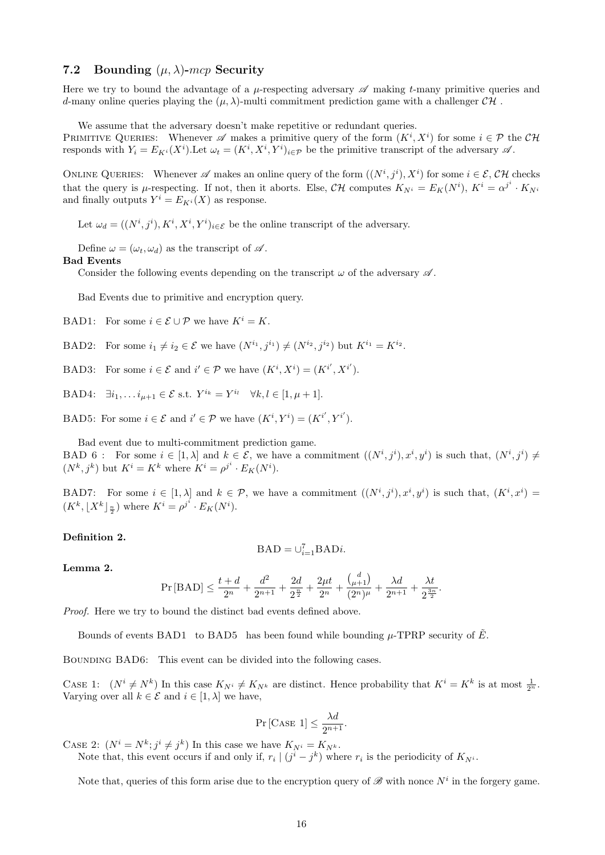#### 7.2 Bounding  $(\mu, \lambda)$ -mcp Security

Here we try to bound the advantage of a  $\mu$ -respecting adversary  $\mathscr A$  making t-many primitive queries and d-many online queries playing the  $(\mu, \lambda)$ -multi commitment prediction game with a challenger CH.

We assume that the adversary doesn't make repetitive or redundant queries.

PRIMITIVE QUERIES: Whenever  $\mathscr A$  makes a primitive query of the form  $(K^i, X^i)$  for some  $i \in \mathcal P$  the  $\mathcal{CH}$ responds with  $Y_i = E_{K^i}(X^i)$ . Let  $\omega_t = (K^i, X^i, Y^i)_{i \in \mathcal{P}}$  be the primitive transcript of the adversary  $\mathscr{A}$ .

ONLINE QUERIES: Whenever  $\mathscr A$  makes an online query of the form  $((N^i, j^i), X^i)$  for some  $i \in \mathcal E$ ,  $\mathcal{CH}$  checks that the query is  $\mu$ -respecting. If not, then it aborts. Else,  $\mathcal{CH}$  computes  $K_{N^i} = E_K(N^i)$ ,  $K^i = \alpha^{j^i} \cdot K_{N^i}$ and finally outputs  $Y^i = E_{K^i}(X)$  as response.

Let  $\omega_d = ((N^i, j^i), K^i, X^i, Y^i)_{i \in \mathcal{E}}$  be the online transcript of the adversary.

Define  $\omega = (\omega_t, \omega_d)$  as the transcript of  $\mathscr A$ .

#### Bad Events

Consider the following events depending on the transcript  $\omega$  of the adversary  $\mathscr A$ .

Bad Events due to primitive and encryption query.

- BAD1: For some  $i \in \mathcal{E} \cup \mathcal{P}$  we have  $K^i = K$ .
- BAD2: For some  $i_1 \neq i_2 \in \mathcal{E}$  we have  $(N^{i_1}, j^{i_1}) \neq (N^{i_2}, j^{i_2})$  but  $K^{i_1} = K^{i_2}$ .
- BAD3: For some  $i \in \mathcal{E}$  and  $i' \in \mathcal{P}$  we have  $(K^i, X^i) = (K^{i'}, X^{i'})$ .
- BAD4:  $\exists i_1, \ldots i_{\mu+1} \in \mathcal{E}$  s.t.  $Y^{i_k} = Y^{i_l} \quad \forall k, l \in [1, \mu+1].$

BAD5: For some  $i \in \mathcal{E}$  and  $i' \in \mathcal{P}$  we have  $(K^i, Y^i) = (K^{i'}, Y^{i'}).$ 

Bad event due to multi-commitment prediction game.

BAD 6: For some  $i \in [1, \lambda]$  and  $k \in \mathcal{E}$ , we have a commitment  $((N^i, j^i), x^i, y^i)$  is such that,  $(N^i, j^i) \neq$  $(N^k, j^k)$  but  $K^i = K^k$  where  $K^i = \rho^{j^i} \cdot E_K(N^i)$ .

BAD7: For some  $i \in [1, \lambda]$  and  $k \in \mathcal{P}$ , we have a commitment  $((N^i, j^i), x^i, y^i)$  is such that,  $(K^i, x^i)$  $(K^k, \lfloor X^k \rfloor_{\frac{n}{2}})$  where  $K^i = \rho^{j^i} \cdot E_K(N^i)$ .

#### Definition 2.

$$
\mathbf{BAD}=\cup_{i=1}^{7}\mathbf{BAD}i.
$$

#### Lemma 2.

$$
\Pr\left[\text{BAD}\right]\leq \frac{t+d}{2^n}+\frac{d^2}{2^{n+1}}+\frac{2d}{2^{\frac{n}{2}}}+\frac{2\mu t}{2^n}+\frac{{d\choose \mu+1}}{(2^n)^\mu}+\frac{\lambda d}{2^{n+1}}+\frac{\lambda t}{2^{\frac{3n}{2}}}
$$

.

Proof. Here we try to bound the distinct bad events defined above.

Bounds of events BAD1 to BAD5 has been found while bounding  $\mu$ -TPRP security of  $\tilde{E}$ .

BOUNDING BAD6: This event can be divided into the following cases.

CASE 1:  $(N^i \neq N^k)$  In this case  $K_{N^i} \neq K_{N^k}$  are distinct. Hence probability that  $K^i = K^k$  is at most  $\frac{1}{2^n}$ . Varying over all  $k \in \mathcal{E}$  and  $i \in [1, \lambda]$  we have,

$$
\Pr\left[\text{CASE 1}\right] \le \frac{\lambda d}{2^{n+1}}.
$$

CASE 2:  $(N^{i} = N^{k}; j^{i} \neq j^{k})$  In this case we have  $K_{N^{i}} = K_{N^{k}}$ .

Note that, this event occurs if and only if,  $r_i | (j^i - j^k)$  where  $r_i$  is the periodicity of  $K_{N^i}$ .

Note that, queries of this form arise due to the encryption query of  $\mathscr{B}$  with nonce  $N^i$  in the forgery game.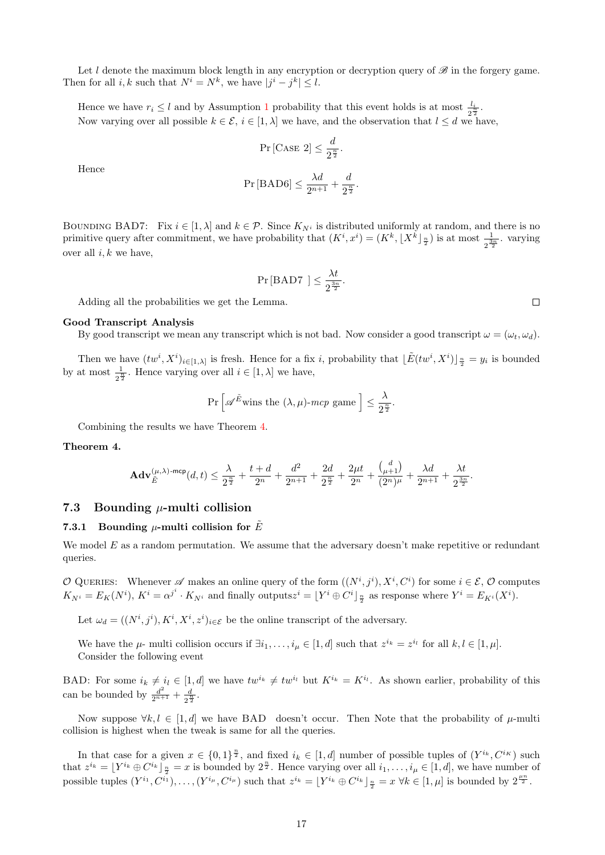Let l denote the maximum block length in any encryption or decryption query of  $\mathscr{B}$  in the forgery game. Then for all i, k such that  $N^i = N^k$ , we have  $|j^i - j^k| \leq l$ .

Hence we have  $r_i \leq l$  and by Assumption [1](#page-12-0) probability that this event holds is at most  $\frac{l_i}{2^{\frac{k}{2}}}$ . Now varying over all possible  $k \in \mathcal{E}$ ,  $i \in [1, \lambda]$  we have, and the observation that  $l \leq d$  we have,

$$
\Pr\left[\text{CASE 2}\right] \le \frac{d}{2^{\frac{n}{2}}}.
$$

Hence

$$
\Pr\left[\text{BAD6}\right]\leq \frac{\lambda d}{2^{n+1}}+\frac{d}{2^{\frac{n}{2}}}.
$$

BOUNDING BAD7: Fix  $i \in [1, \lambda]$  and  $k \in \mathcal{P}$ . Since  $K_{N^i}$  is distributed uniformly at random, and there is no primitive query after commitment, we have probability that  $(K^i, x^i) = (K^k, \lfloor X^k \rfloor \frac{n}{2})$  is at most  $\frac{1}{2^{\frac{3n}{2}}}$ . varying over all  $i, k$  we have,

$$
\Pr[\text{BAD7 }] \leq \frac{\lambda t}{2^{\frac{3n}{2}}}.
$$

Adding all the probabilities we get the Lemma.

#### Good Transcript Analysis

By good transcript we mean any transcript which is not bad. Now consider a good transcript  $\omega = (\omega_t, \omega_d)$ .

Then we have  $(tw^i, X^i)_{i \in [1, \lambda]}$  is fresh. Hence for a fix i, probability that  $\lfloor \tilde{E}(tw^i, X^i) \rfloor_{\frac{n}{2}} = y_i$  is bounded by at most  $\frac{1}{2^{\frac{n}{2}}}$ . Hence varying over all  $i \in [1, \lambda]$  we have,

$$
\Pr\left[\mathscr{A}^{\tilde{E}} \text{wins the } (\lambda, \mu) \text{-}mcp \text{ game }\right] \le \frac{\lambda}{2^{\frac{n}{2}}}.
$$

Combining the results we have Theorem [4.](#page-16-0)

#### <span id="page-16-0"></span>Theorem 4.

$$
\mathbf{Adv}_{\tilde{E}}^{(\mu,\lambda)\text{-mcp}}(d,t)\leq \frac{\lambda}{2^{\frac{n}{2}}}+\frac{t+d}{2^n}+\frac{d^2}{2^{n+1}}+\frac{2d}{2^{\frac{n}{2}}}+\frac{2\mu t}{2^n}+\frac{{M\choose \mu+1}}{{(2^n)^\mu}}+\frac{\lambda d}{2^{n+1}}+\frac{\lambda t}{2^{\frac{3n}{2}}}.
$$

#### 7.3 Bounding  $\mu$ -multi collision

#### 7.3.1 Bounding  $\mu$ -multi collision for  $\tilde{E}$

We model  $E$  as a random permutation. We assume that the adversary doesn't make repetitive or redundant queries.

O QUERIES: Whenever  $\mathscr A$  makes an online query of the form  $((N^i, j^i), X^i, C^i)$  for some  $i \in \mathcal E, \mathcal O$  computes  $K_{N^i}=E_K(N^i)$ ,  $K^i=\alpha^{j^i}\cdot K_{N^i}$  and finally outputs $z^i=\lfloor Y^i\oplus C^i\rfloor_{\frac{n}{2}}$  as response where  $Y^i=E_{K^i}(X^i)$ .

Let  $\omega_d = ((N^i, j^i), K^i, X^i, z^i)_{i \in \mathcal{E}}$  be the online transcript of the adversary.

We have the  $\mu$ - multi collision occurs if  $\exists i_1, \ldots, i_\mu \in [1, d]$  such that  $z^{i_k} = z^{i_l}$  for all  $k, l \in [1, \mu]$ . Consider the following event

BAD: For some  $i_k \neq i_l \in [1, d]$  we have  $tw^{i_k} \neq tw^{i_l}$  but  $K^{i_k} = K^{i_l}$ . As shown earlier, probability of this can be bounded by  $\frac{d^2}{2^{n+1}} + \frac{d}{2^n}$  $rac{d}{2^{\frac{n}{2}}}.$ 

Now suppose  $\forall k, l \in [1, d]$  we have BAD doesn't occur. Then Note that the probability of  $\mu$ -multi collision is highest when the tweak is same for all the queries.

In that case for a given  $x \in \{0,1\}^{\frac{n}{2}}$ , and fixed  $i_k \in [1,d]$  number of possible tuples of  $(Y^{i_k}, C^{i_K})$  such that  $z^{i_k} = \lfloor Y^{i_k} \oplus C^{i_k} \rfloor_{\frac{n}{2}} = x$  is bounded by  $2^{\frac{n}{2}}$ . Hence varying over all  $i_1, \ldots, i_\mu \in [1, d]$ , we have number of possible tuples  $(Y^{i_1}, C^{i_1}), \ldots, (Y^{i_\mu}, C^{i_\mu})$  such that  $z^{i_k} = \lfloor Y^{i_k} \oplus C^{i_k} \rfloor \frac{n}{2} = x \ \forall k \in [1, \mu]$  is bounded by  $2^{\frac{\mu n}{2}}$ .

 $\Box$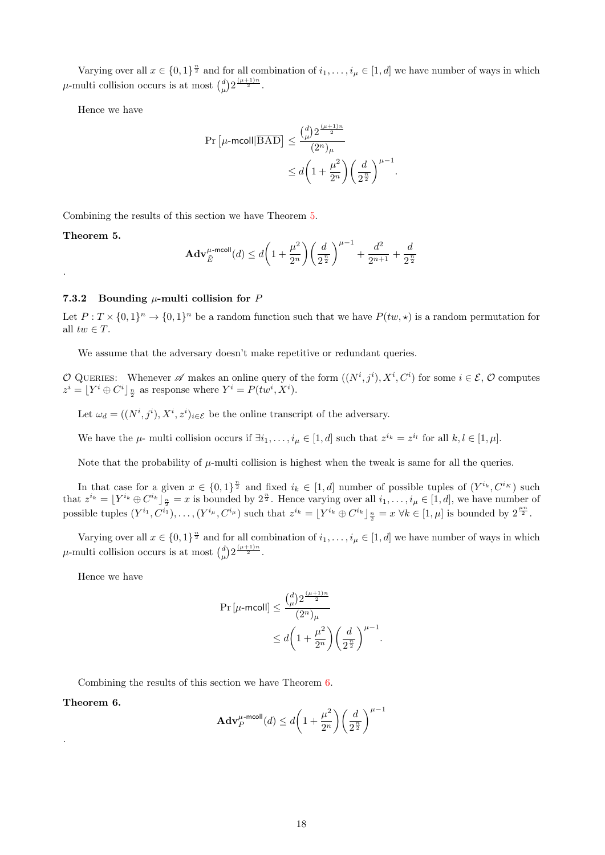Varying over all  $x \in \{0,1\}^{\frac{n}{2}}$  and for all combination of  $i_1,\ldots,i_\mu \in [1,d]$  we have number of ways in which  $\mu$ -multi collision occurs is at most  $\binom{d}{\mu} 2^{\frac{(\mu+1)n}{2}}$ .

Hence we have

$$
\begin{aligned} \Pr\left[\mu\text{-mcoll}|\overline{\text{BAD}}\right] &\leq \frac{{d\choose \mu}2^{\frac{(\mu+1)n}{2}}}{(2^n)_{\mu}} \\ &\leq d\bigg(1+\frac{\mu^2}{2^n}\bigg)\bigg(\frac{d}{2^{\frac{n}{2}}}\bigg)^{\mu-1}. \end{aligned}
$$

Combining the results of this section we have Theorem [5.](#page-17-0)

<span id="page-17-0"></span>Theorem 5.

.

$$
\mathbf{Adv}_{\tilde{E}}^{\mu\text{-mcoll}}(d) \le d\bigg(1 + \frac{\mu^2}{2^n}\bigg)\bigg(\frac{d}{2^{\frac{n}{2}}}\bigg)^{\mu-1} + \frac{d^2}{2^{n+1}} + \frac{d}{2^{\frac{n}{2}}}
$$

#### 7.3.2 Bounding  $\mu$ -multi collision for P

Let  $P: T \times \{0,1\}^n \to \{0,1\}^n$  be a random function such that we have  $P(tw, \star)$  is a random permutation for all  $tw \in T$ .

We assume that the adversary doesn't make repetitive or redundant queries.

O QUERIES: Whenever  $\mathscr A$  makes an online query of the form  $((N^i, j^i), X^i, C^i)$  for some  $i \in \mathcal E, \mathcal O$  computes  $z^i = [Y^i \oplus C^i]_{\frac{n}{2}}$  as response where  $Y^i = P(tw^i, X^i)$ .

Let  $\omega_d = ((N^i, j^i), X^i, z^i)_{i \in \mathcal{E}}$  be the online transcript of the adversary.

We have the  $\mu$ - multi collision occurs if  $\exists i_1, \ldots, i_\mu \in [1, d]$  such that  $z^{i_k} = z^{i_l}$  for all  $k, l \in [1, \mu]$ .

Note that the probability of  $\mu$ -multi collision is highest when the tweak is same for all the queries.

In that case for a given  $x \in \{0,1\}^{\frac{n}{2}}$  and fixed  $i_k \in [1,d]$  number of possible tuples of  $(Y^{i_k}, C^{i_K})$  such that  $z^{i_k} = \lfloor Y^{i_k} \oplus C^{i_k} \rfloor_{\frac{n}{2}} = x$  is bounded by  $2^{\frac{n}{2}}$ . Hence varying over all  $i_1, \ldots, i_\mu \in [1, d]$ , we have number of possible tuples  $(Y^{i_1}, C^{i_1}), \ldots, (Y^{i_\mu}, C^{i_\mu})$  such that  $z^{i_k} = \lfloor Y^{i_k} \oplus C^{i_k} \rfloor \frac{n}{2} = x \ \forall k \in [1, \mu]$  is bounded by  $2^{\frac{\mu n}{2}}$ .

Varying over all  $x \in \{0,1\}^{\frac{n}{2}}$  and for all combination of  $i_1,\ldots,i_\mu \in [1,d]$  we have number of ways in which  $\mu$ -multi collision occurs is at most  $\binom{d}{\mu} 2^{\frac{(\mu+1)n}{2}}$ .

Hence we have

$$
\begin{aligned} \Pr\left[\mu\text{-mcoll}\right] &\leq \frac{{d\choose \mu}2^{\frac{(\mu+1)n}{2}}}{(2^n)_{\mu}}\\ &\leq d\bigg(1+\frac{\mu^2}{2^n}\bigg)\bigg(\frac{d}{2^{\frac{n}{2}}}\bigg)^{\mu-1}. \end{aligned}
$$

Combining the results of this section we have Theorem [6.](#page-17-1)

<span id="page-17-1"></span>Theorem 6.

.

$$
\mathbf{Adv}_{P}^{\mu\text{-mcoll}}(d) \le d\bigg(1+\frac{\mu^{2}}{2^{n}}\bigg)\bigg(\frac{d}{2^{\frac{n}{2}}}\bigg)^{\mu-1}
$$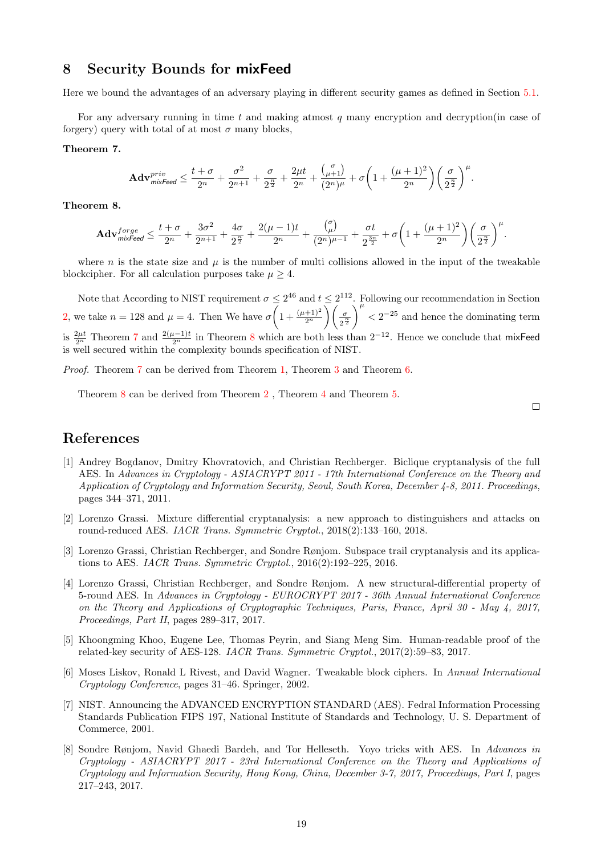## 8 Security Bounds for mixFeed

Here we bound the advantages of an adversary playing in different security games as defined in Section [5.1.](#page-5-0)

For any adversary running in time  $t$  and making atmost  $q$  many encryption and decryption (in case of forgery) query with total of at most  $\sigma$  many blocks,

#### <span id="page-18-8"></span>Theorem 7.

$$
\mathbf{Adv}_{\mathit{mixed}}^{\mathit{priv}} \leq \frac{t+\sigma}{2^n} + \frac{\sigma^2}{2^{n+1}} + \frac{\sigma}{2^{\frac{n}{2}}} + \frac{2\mu t}{2^n} + \frac{{\mu+1 \choose \mu+1}}{{(2^n)^\mu}} + \sigma\bigg(1 + \frac{(\mu+1)^2}{2^n}\bigg)\bigg(\frac{\sigma}{2^{\frac{n}{2}}}\bigg)^\mu.
$$

<span id="page-18-9"></span>Theorem 8.

$$
\mathbf{Adv}_{\textit{mix} \textit{feed}}^{\textit{forge}} \leq \frac{t+\sigma}{2^n} + \frac{3\sigma^2}{2^{n+1}} + \frac{4\sigma}{2^{\frac{n}{2}}} + \frac{2(\mu-1)t}{2^n} + \frac{{\tau \choose \mu}}{(2^n)^{\mu-1}} + \frac{\sigma t}{2^{\frac{3n}{2}}} + \sigma \bigg(1 + \frac{(\mu+1)^2}{2^n}\bigg)\bigg(\frac{\sigma}{2^{\frac{n}{2}}}\bigg)^{\mu}.
$$

where n is the state size and  $\mu$  is the number of multi collisions allowed in the input of the tweakable blockcipher. For all calculation purposes take  $\mu > 4$ .

Note that According to NIST requirement  $\sigma \leq 2^{46}$  and  $t \leq 2^{112}$ . Following our recommendation in Section [2,](#page-1-0) we take  $n = 128$  and  $\mu = 4$ . Then We have  $\sigma \left(1 + \frac{(\mu + 1)^2}{2^n}\right) \left(\frac{\sigma}{2^{\frac{3}{2}}} \right)$  $\frac{n}{2}$ <sup> $\frac{n}{2}$ </sup>  $\int_{0}^{\mu}$  < 2<sup>-25</sup> and hence the dominating term is  $\frac{2\mu t}{2^n}$  Theorem [7](#page-18-8) and  $\frac{2(\mu-1)t}{2^n}$  in Theorem [8](#page-18-9) which are both less than  $2^{-12}$ . Hence we conclude that mixFeed is well secured within the complexity bounds specification of NIST.

Proof. Theorem [7](#page-18-8) can be derived from Theorem [1,](#page-7-0) Theorem [3](#page-14-0) and Theorem [6.](#page-17-1)

Theorem [8](#page-18-9) can be derived from Theorem [2](#page-10-0) , Theorem [4](#page-16-0) and Theorem [5.](#page-17-0)

 $\Box$ 

## References

- <span id="page-18-1"></span>[1] Andrey Bogdanov, Dmitry Khovratovich, and Christian Rechberger. Biclique cryptanalysis of the full AES. In Advances in Cryptology - ASIACRYPT 2011 - 17th International Conference on the Theory and Application of Cryptology and Information Security, Seoul, South Korea, December 4-8, 2011. Proceedings, pages 344–371, 2011.
- <span id="page-18-6"></span>[2] Lorenzo Grassi. Mixture differential cryptanalysis: a new approach to distinguishers and attacks on round-reduced AES. IACR Trans. Symmetric Cryptol., 2018(2):133–160, 2018.
- <span id="page-18-3"></span>[3] Lorenzo Grassi, Christian Rechberger, and Sondre Rønjom. Subspace trail cryptanalysis and its applications to AES. IACR Trans. Symmetric Cryptol.,  $2016(2):192-225$ , 2016.
- <span id="page-18-4"></span>[4] Lorenzo Grassi, Christian Rechberger, and Sondre Rønjom. A new structural-differential property of 5-round AES. In Advances in Cryptology - EUROCRYPT 2017 - 36th Annual International Conference on the Theory and Applications of Cryptographic Techniques, Paris, France, April 30 - May 4, 2017, Proceedings, Part II, pages 289–317, 2017.
- <span id="page-18-2"></span>[5] Khoongming Khoo, Eugene Lee, Thomas Peyrin, and Siang Meng Sim. Human-readable proof of the related-key security of AES-128. IACR Trans. Symmetric Cryptol., 2017(2):59–83, 2017.
- <span id="page-18-7"></span>[6] Moses Liskov, Ronald L Rivest, and David Wagner. Tweakable block ciphers. In Annual International Cryptology Conference, pages 31–46. Springer, 2002.
- <span id="page-18-0"></span>[7] NIST. Announcing the ADVANCED ENCRYPTION STANDARD (AES). Fedral Information Processing Standards Publication FIPS 197, National Institute of Standards and Technology, U. S. Department of Commerce, 2001.
- <span id="page-18-5"></span>[8] Sondre Rønjom, Navid Ghaedi Bardeh, and Tor Helleseth. Yoyo tricks with AES. In Advances in Cryptology - ASIACRYPT 2017 - 23rd International Conference on the Theory and Applications of Cryptology and Information Security, Hong Kong, China, December 3-7, 2017, Proceedings, Part I, pages 217–243, 2017.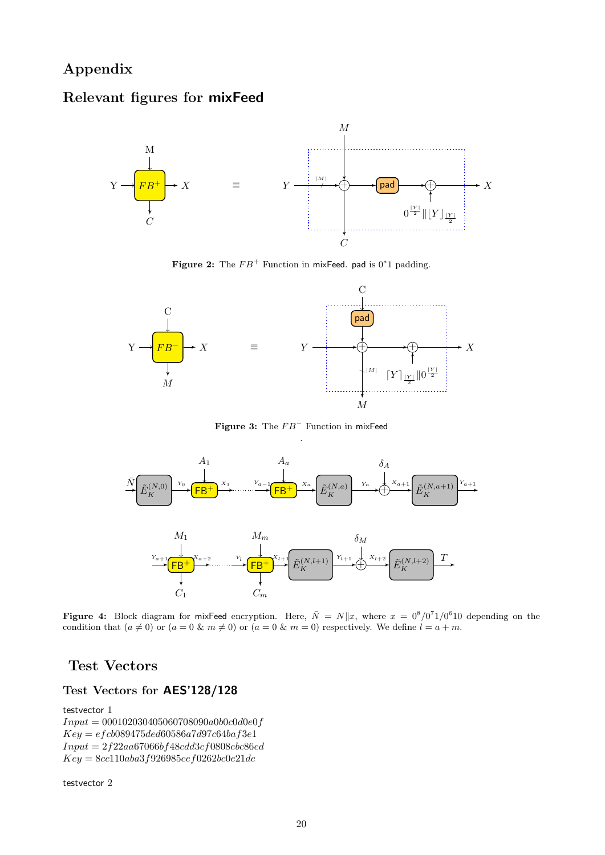## Appendix

## Relevant figures for mixFeed



Figure 2: The  $FB^+$  Function in mixFeed. pad is 0\*1 padding.



Figure 3: The  $FB^-$  Function in mixFeed

<span id="page-19-0"></span>

**Figure 4:** Block diagram for mixFeed encryption. Here,  $\bar{N} = N||x$ , where  $x = 0^8/0^71/0^610$  depending on the condition that  $(a \neq 0)$  or  $(a = 0 \& m \neq 0)$  or  $(a = 0 \& m = 0)$  respectively. We define  $l = a + m$ .

## Test Vectors

## Test Vectors for AES'128/128

testvector 1

 $Input = 000102030405060708090a0b0c0d0e0f$  $Key = efcb089475ded60586a7d97c64baf3e1$  $Input = 2f22aa67066bf48cdd3cf0808ebc86ed$  $Key = 8cc110aba3f926985eef0262bc0e21dc$ 

testvector 2